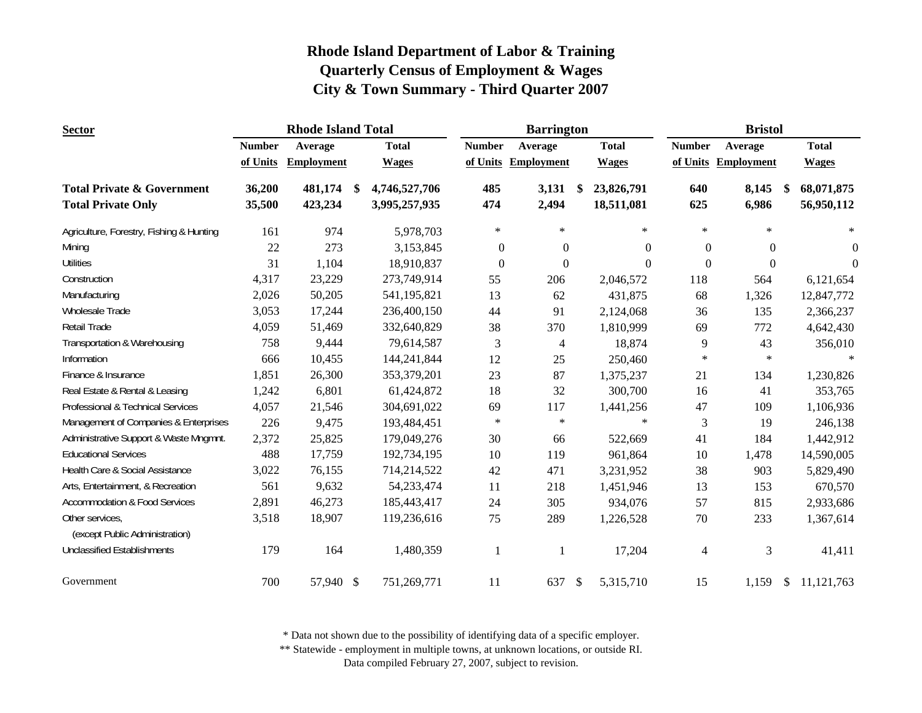| <b>Sector</b>                                     |               | <b>Rhode Island Total</b> |     |               |                  | <b>Barrington</b>   |               |              | <b>Bristol</b> |                     |     |              |
|---------------------------------------------------|---------------|---------------------------|-----|---------------|------------------|---------------------|---------------|--------------|----------------|---------------------|-----|--------------|
|                                                   | <b>Number</b> | Average                   |     | <b>Total</b>  | <b>Number</b>    | Average             |               | <b>Total</b> | <b>Number</b>  | Average             |     | <b>Total</b> |
|                                                   | of Units      | <b>Employment</b>         |     | <b>Wages</b>  |                  | of Units Employment |               | <b>Wages</b> |                | of Units Employment |     | <b>Wages</b> |
| <b>Total Private &amp; Government</b>             | 36,200        | 481,174                   | -\$ | 4,746,527,706 | 485              | 3,131               | \$            | 23,826,791   | 640            | 8,145               | -\$ | 68,071,875   |
| <b>Total Private Only</b>                         | 35,500        | 423,234                   |     | 3,995,257,935 | 474              | 2,494               |               | 18,511,081   | 625            | 6,986               |     | 56,950,112   |
| Agriculture, Forestry, Fishing & Hunting          | 161           | 974                       |     | 5,978,703     | $\ast$           | $\ast$              |               | $\ast$       | $\ast$         | $\ast$              |     | $\ast$       |
| Mining                                            | 22            | 273                       |     | 3,153,845     | $\boldsymbol{0}$ | $\mathbf{0}$        |               | $\Omega$     | $\overline{0}$ | $\overline{0}$      |     | $\theta$     |
| <b>Utilities</b>                                  | 31            | 1,104                     |     | 18,910,837    | $\mathbf{0}$     | $\boldsymbol{0}$    |               | $\Omega$     | $\Omega$       | $\Omega$            |     | $\theta$     |
| Construction                                      | 4,317         | 23,229                    |     | 273,749,914   | 55               | 206                 |               | 2,046,572    | 118            | 564                 |     | 6,121,654    |
| Manufacturing                                     | 2,026         | 50,205                    |     | 541, 195, 821 | 13               | 62                  |               | 431,875      | 68             | 1,326               |     | 12,847,772   |
| Wholesale Trade                                   | 3,053         | 17,244                    |     | 236,400,150   | 44               | 91                  |               | 2,124,068    | 36             | 135                 |     | 2,366,237    |
| Retail Trade                                      | 4,059         | 51,469                    |     | 332,640,829   | 38               | 370                 |               | 1,810,999    | 69             | 772                 |     | 4,642,430    |
| Transportation & Warehousing                      | 758           | 9,444                     |     | 79,614,587    | 3                | 4                   |               | 18,874       | 9              | 43                  |     | 356,010      |
| Information                                       | 666           | 10,455                    |     | 144,241,844   | 12               | 25                  |               | 250,460      | $\ast$         | $\ast$              |     | $\ast$       |
| Finance & Insurance                               | 1,851         | 26,300                    |     | 353,379,201   | 23               | 87                  |               | 1,375,237    | 21             | 134                 |     | 1,230,826    |
| Real Estate & Rental & Leasing                    | 1,242         | 6,801                     |     | 61,424,872    | 18               | 32                  |               | 300,700      | 16             | 41                  |     | 353,765      |
| Professional & Technical Services                 | 4,057         | 21,546                    |     | 304,691,022   | 69               | 117                 |               | 1,441,256    | 47             | 109                 |     | 1,106,936    |
| Management of Companies & Enterprises             | 226           | 9,475                     |     | 193,484,451   | $\ast$           | $\ast$              |               | $\ast$       | 3              | 19                  |     | 246,138      |
| Administrative Support & Waste Mngmnt.            | 2,372         | 25,825                    |     | 179,049,276   | 30               | 66                  |               | 522,669      | 41             | 184                 |     | 1,442,912    |
| <b>Educational Services</b>                       | 488           | 17,759                    |     | 192,734,195   | 10               | 119                 |               | 961,864      | 10             | 1,478               |     | 14,590,005   |
| Health Care & Social Assistance                   | 3,022         | 76,155                    |     | 714,214,522   | 42               | 471                 |               | 3,231,952    | 38             | 903                 |     | 5,829,490    |
| Arts, Entertainment, & Recreation                 | 561           | 9,632                     |     | 54,233,474    | 11               | 218                 |               | 1,451,946    | 13             | 153                 |     | 670,570      |
| <b>Accommodation &amp; Food Services</b>          | 2,891         | 46,273                    |     | 185,443,417   | 24               | 305                 |               | 934,076      | 57             | 815                 |     | 2,933,686    |
| Other services,<br>(except Public Administration) | 3,518         | 18,907                    |     | 119,236,616   | 75               | 289                 |               | 1,226,528    | 70             | 233                 |     | 1,367,614    |
| <b>Unclassified Establishments</b>                | 179           | 164                       |     | 1,480,359     | 1                |                     |               | 17,204       | 4              | 3                   |     | 41,411       |
| Government                                        | 700           | 57,940 \$                 |     | 751,269,771   | 11               | 637                 | $\mathcal{S}$ | 5,315,710    | 15             | 1,159               | \$  | 11,121,763   |

\* Data not shown due to the possibility of identifying data of a specific employer.

\*\* Statewide - employment in multiple towns, at unknown locations, or outside RI.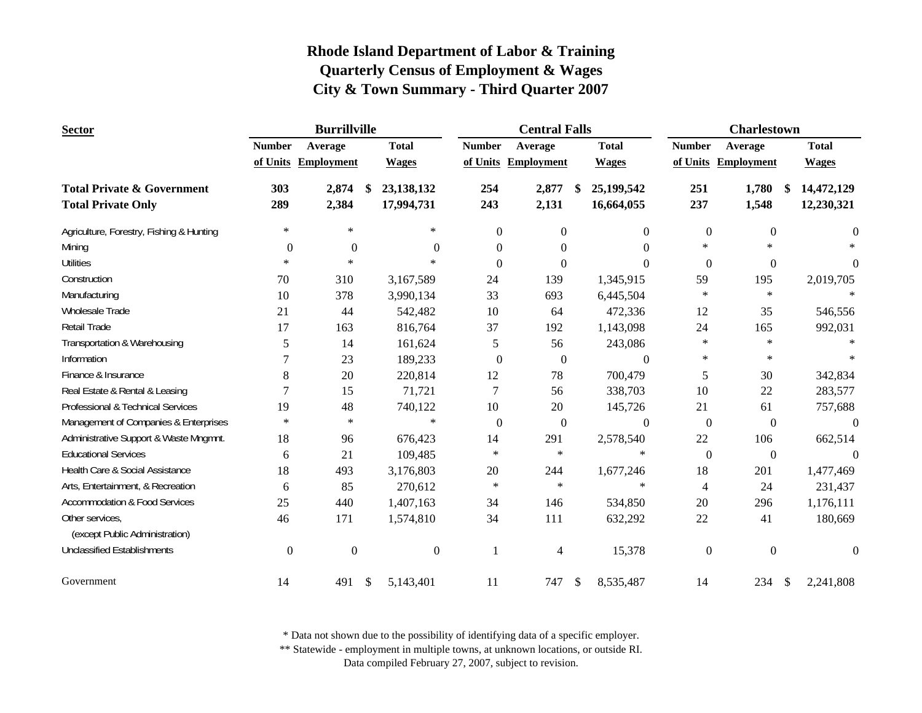| <b>Sector</b>                            |                  | <b>Burrillville</b> |                  |                | <b>Central Falls</b> |     |                  |                  | <b>Charlestown</b>  |               |                |
|------------------------------------------|------------------|---------------------|------------------|----------------|----------------------|-----|------------------|------------------|---------------------|---------------|----------------|
|                                          | <b>Number</b>    | Average             | <b>Total</b>     | <b>Number</b>  | Average              |     | <b>Total</b>     | <b>Number</b>    | Average             |               | <b>Total</b>   |
|                                          |                  | of Units Employment | <b>Wages</b>     |                | of Units Employment  |     | <b>Wages</b>     |                  | of Units Employment |               | <b>Wages</b>   |
| <b>Total Private &amp; Government</b>    | 303              | 2,874               | \$<br>23,138,132 | 254            | 2,877                | \$. | 25,199,542       | 251              | 1,780               | \$            | 14,472,129     |
| <b>Total Private Only</b>                | 289              | 2,384               | 17,994,731       | 243            | 2,131                |     | 16,664,055       | 237              | 1,548               |               | 12,230,321     |
| Agriculture, Forestry, Fishing & Hunting | $\ast$           | $\ast$              | $\ast$           | $\Omega$       | $\Omega$             |     | $\Omega$         | $\boldsymbol{0}$ | $\mathbf{0}$        |               | $\Omega$       |
| Mining                                   | $\Omega$         | $\boldsymbol{0}$    | $\Omega$         | $\Omega$       | $\Omega$             |     | $\theta$         | $\ast$           | *                   |               |                |
| <b>Utilities</b>                         | $\ast$           | $\ast$              | $\ast$           | $\theta$       | $\Omega$             |     | $\theta$         | $\mathbf{0}$     | $\overline{0}$      |               | $\overline{0}$ |
| Construction                             | 70               | 310                 | 3,167,589        | 24             | 139                  |     | 1,345,915        | 59               | 195                 |               | 2,019,705      |
| Manufacturing                            | 10               | 378                 | 3,990,134        | 33             | 693                  |     | 6,445,504        | $\ast$           | $\ast$              |               |                |
| Wholesale Trade                          | 21               | 44                  | 542,482          | 10             | 64                   |     | 472,336          | 12               | 35                  |               | 546,556        |
| <b>Retail Trade</b>                      | 17               | 163                 | 816,764          | 37             | 192                  |     | 1,143,098        | 24               | 165                 |               | 992,031        |
| Transportation & Warehousing             | 5                | 14                  | 161,624          | 5              | 56                   |     | 243,086          | $\ast$           | $\ast$              |               |                |
| Information                              | 7                | 23                  | 189,233          | $\overline{0}$ | $\overline{0}$       |     | $\boldsymbol{0}$ | $\ast$           | $\ast$              |               |                |
| Finance & Insurance                      | 8                | 20                  | 220,814          | 12             | 78                   |     | 700,479          | 5                | 30                  |               | 342,834        |
| Real Estate & Rental & Leasing           | 7                | 15                  | 71,721           | 7              | 56                   |     | 338,703          | 10               | 22                  |               | 283,577        |
| Professional & Technical Services        | 19               | 48                  | 740,122          | 10             | 20                   |     | 145,726          | 21               | 61                  |               | 757,688        |
| Management of Companies & Enterprises    | $\ast$           | $\ast$              | $\ast$           | $\overline{0}$ | $\mathbf{0}$         |     | $\boldsymbol{0}$ | $\boldsymbol{0}$ | $\boldsymbol{0}$    |               | $\overline{0}$ |
| Administrative Support & Waste Mngmnt.   | 18               | 96                  | 676,423          | 14             | 291                  |     | 2,578,540        | 22               | 106                 |               | 662,514        |
| <b>Educational Services</b>              | 6                | 21                  | 109,485          | $\ast$         | $\star$              |     | $\ast$           | $\mathbf{0}$     | $\boldsymbol{0}$    |               | $\Omega$       |
| Health Care & Social Assistance          | 18               | 493                 | 3,176,803        | 20             | 244                  |     | 1,677,246        | 18               | 201                 |               | 1,477,469      |
| Arts, Entertainment, & Recreation        | 6                | 85                  | 270,612          | $\ast$         | $\star$              |     | $\ast$           | $\overline{4}$   | 24                  |               | 231,437        |
| <b>Accommodation &amp; Food Services</b> | 25               | 440                 | 1,407,163        | 34             | 146                  |     | 534,850          | 20               | 296                 |               | 1,176,111      |
| Other services,                          | 46               | 171                 | 1,574,810        | 34             | 111                  |     | 632,292          | $22\,$           | 41                  |               | 180,669        |
| (except Public Administration)           |                  |                     |                  |                |                      |     |                  |                  |                     |               |                |
| <b>Unclassified Establishments</b>       | $\boldsymbol{0}$ | $\boldsymbol{0}$    | $\boldsymbol{0}$ | 1              | 4                    |     | 15,378           | $\boldsymbol{0}$ | $\boldsymbol{0}$    |               | 0              |
| Government                               | 14               | 491                 | \$<br>5,143,401  | 11             | 747                  | \$  | 8,535,487        | 14               | 234                 | $\mathcal{S}$ | 2,241,808      |

\* Data not shown due to the possibility of identifying data of a specific employer.

\*\* Statewide - employment in multiple towns, at unknown locations, or outside RI.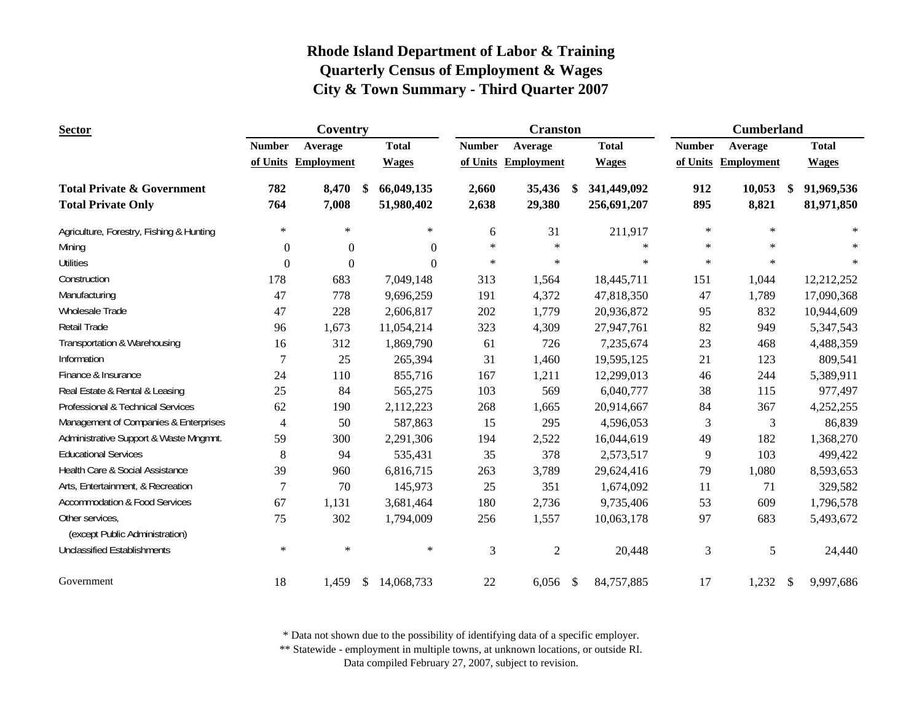| <b>Sector</b>                                     |                | Coventry            |               |              |                | <b>Cranston</b>   |               |              |               | <b>Cumberland</b> |               |              |
|---------------------------------------------------|----------------|---------------------|---------------|--------------|----------------|-------------------|---------------|--------------|---------------|-------------------|---------------|--------------|
|                                                   | <b>Number</b>  | Average             |               | <b>Total</b> | <b>Number</b>  | Average           |               | <b>Total</b> | <b>Number</b> | Average           |               | <b>Total</b> |
|                                                   |                | of Units Employment |               | <b>Wages</b> | of Units       | <b>Employment</b> |               | <b>Wages</b> | of Units      | Employment        |               | <b>Wages</b> |
| <b>Total Private &amp; Government</b>             | 782            | 8,470               | -\$           | 66,049,135   | 2,660          | 35,436            | <sup>\$</sup> | 341,449,092  | 912           | 10,053            | \$            | 91,969,536   |
| <b>Total Private Only</b>                         | 764            | 7,008               |               | 51,980,402   | 2,638          | 29,380            |               | 256,691,207  | 895           | 8,821             |               | 81,971,850   |
| Agriculture, Forestry, Fishing & Hunting          | $\ast$         | $\ast$              |               | $\ast$       | 6              | 31                |               | 211,917      | $\ast$        | $\ast$            |               | $\ast$       |
| Mining                                            | $\theta$       | $\mathbf{0}$        |               | $\mathbf{0}$ | $\ast$         | $\ast$            |               | $\ast$       | $\ast$        | $\ast$            |               |              |
| <b>Utilities</b>                                  | $\mathbf{0}$   | $\mathbf{0}$        |               | $\Omega$     | $\ast$         | $\ast$            |               | $\ast$       | $\ast$        | $\ast$            |               | $\ast$       |
| Construction                                      | 178            | 683                 |               | 7,049,148    | 313            | 1,564             |               | 18,445,711   | 151           | 1,044             |               | 12,212,252   |
| Manufacturing                                     | 47             | 778                 |               | 9,696,259    | 191            | 4,372             |               | 47,818,350   | 47            | 1,789             |               | 17,090,368   |
| Wholesale Trade                                   | 47             | 228                 |               | 2,606,817    | 202            | 1,779             |               | 20,936,872   | 95            | 832               |               | 10,944,609   |
| Retail Trade                                      | 96             | 1,673               |               | 11,054,214   | 323            | 4,309             |               | 27,947,761   | 82            | 949               |               | 5,347,543    |
| Transportation & Warehousing                      | 16             | 312                 |               | 1,869,790    | 61             | 726               |               | 7,235,674    | 23            | 468               |               | 4,488,359    |
| Information                                       | 7              | 25                  |               | 265,394      | 31             | 1,460             |               | 19,595,125   | 21            | 123               |               | 809,541      |
| Finance & Insurance                               | 24             | 110                 |               | 855,716      | 167            | 1,211             |               | 12,299,013   | 46            | 244               |               | 5,389,911    |
| Real Estate & Rental & Leasing                    | 25             | 84                  |               | 565,275      | 103            | 569               |               | 6,040,777    | 38            | 115               |               | 977,497      |
| Professional & Technical Services                 | 62             | 190                 |               | 2,112,223    | 268            | 1,665             |               | 20,914,667   | 84            | 367               |               | 4,252,255    |
| Management of Companies & Enterprises             | $\overline{4}$ | 50                  |               | 587,863      | 15             | 295               |               | 4,596,053    | 3             | 3                 |               | 86,839       |
| Administrative Support & Waste Mngmnt.            | 59             | 300                 |               | 2,291,306    | 194            | 2,522             |               | 16,044,619   | 49            | 182               |               | 1,368,270    |
| <b>Educational Services</b>                       | 8              | 94                  |               | 535,431      | 35             | 378               |               | 2,573,517    | 9             | 103               |               | 499,422      |
| Health Care & Social Assistance                   | 39             | 960                 |               | 6,816,715    | 263            | 3,789             |               | 29,624,416   | 79            | 1,080             |               | 8,593,653    |
| Arts, Entertainment, & Recreation                 | 7              | 70                  |               | 145,973      | 25             | 351               |               | 1,674,092    | 11            | 71                |               | 329,582      |
| <b>Accommodation &amp; Food Services</b>          | 67             | 1,131               |               | 3,681,464    | 180            | 2,736             |               | 9,735,406    | 53            | 609               |               | 1,796,578    |
| Other services,<br>(except Public Administration) | 75             | 302                 |               | 1,794,009    | 256            | 1,557             |               | 10,063,178   | 97            | 683               |               | 5,493,672    |
| <b>Unclassified Establishments</b>                | $\ast$         | $\ast$              |               | $\ast$       | $\mathfrak{Z}$ | $\sqrt{2}$        |               | 20,448       | 3             | 5                 |               | 24,440       |
| Government                                        | 18             | 1,459               | <sup>\$</sup> | 14,068,733   | 22             | 6,056             | $\mathcal{S}$ | 84,757,885   | 17            | 1,232             | $\mathcal{S}$ | 9,997,686    |

\* Data not shown due to the possibility of identifying data of a specific employer.

\*\* Statewide - employment in multiple towns, at unknown locations, or outside RI.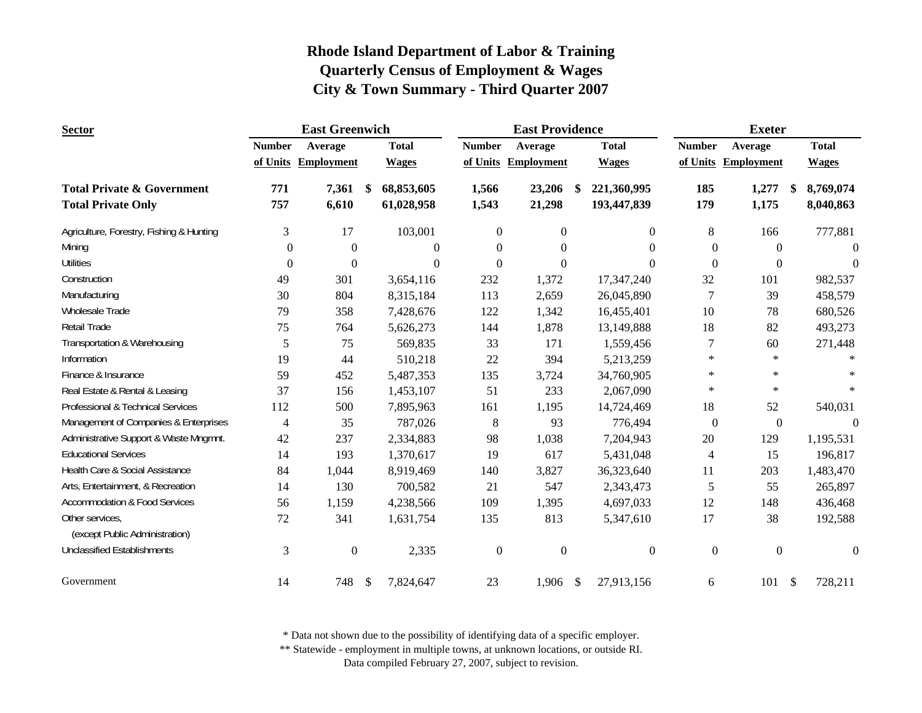| <b>Sector</b>                            |                  | <b>East Greenwich</b> |            |              |                  | <b>East Providence</b> |     |                  |                  | <b>Exeter</b>       |                           |                |
|------------------------------------------|------------------|-----------------------|------------|--------------|------------------|------------------------|-----|------------------|------------------|---------------------|---------------------------|----------------|
|                                          | <b>Number</b>    | Average               |            | <b>Total</b> | <b>Number</b>    | Average                |     | <b>Total</b>     | <b>Number</b>    | Average             |                           | <b>Total</b>   |
|                                          |                  | of Units Employment   |            | <b>Wages</b> |                  | of Units Employment    |     | <b>Wages</b>     |                  | of Units Employment |                           | <b>Wages</b>   |
| <b>Total Private &amp; Government</b>    | 771              | 7,361                 | -\$        | 68,853,605   | 1,566            | 23,206                 | \$. | 221,360,995      | 185              | 1,277               | S                         | 8,769,074      |
| <b>Total Private Only</b>                | 757              | 6,610                 |            | 61,028,958   | 1,543            | 21,298                 |     | 193,447,839      | 179              | 1,175               |                           | 8,040,863      |
| Agriculture, Forestry, Fishing & Hunting | 3                | 17                    |            | 103,001      | $\theta$         | $\overline{0}$         |     | 0                | 8                | 166                 |                           | 777,881        |
| Mining                                   | $\Omega$         | $\mathbf{0}$          |            | $\Omega$     | $\Omega$         | $\Omega$               |     | 0                | $\Omega$         | $\Omega$            |                           | $\Omega$       |
| <b>Utilities</b>                         | $\boldsymbol{0}$ | $\boldsymbol{0}$      |            | $\Omega$     | $\theta$         | $\Omega$               |     | $\Omega$         | $\Omega$         | $\Omega$            |                           | $\Omega$       |
| Construction                             | 49               | 301                   |            | 3,654,116    | 232              | 1,372                  |     | 17,347,240       | 32               | 101                 |                           | 982,537        |
| Manufacturing                            | 30               | 804                   |            | 8,315,184    | 113              | 2,659                  |     | 26,045,890       | 7                | 39                  |                           | 458,579        |
| Wholesale Trade                          | 79               | 358                   |            | 7,428,676    | 122              | 1,342                  |     | 16,455,401       | 10               | 78                  |                           | 680,526        |
| <b>Retail Trade</b>                      | 75               | 764                   |            | 5,626,273    | 144              | 1,878                  |     | 13,149,888       | 18               | 82                  |                           | 493,273        |
| Transportation & Warehousing             | 5                | 75                    |            | 569,835      | 33               | 171                    |     | 1,559,456        | 7                | 60                  |                           | 271,448        |
| Information                              | 19               | 44                    |            | 510,218      | 22               | 394                    |     | 5,213,259        | $\ast$           | $\ast$              |                           |                |
| Finance & Insurance                      | 59               | 452                   |            | 5,487,353    | 135              | 3,724                  |     | 34,760,905       | $\ast$           | $\ast$              |                           |                |
| Real Estate & Rental & Leasing           | 37               | 156                   |            | 1,453,107    | 51               | 233                    |     | 2,067,090        | $\ast$           | $\ast$              |                           | $\ast$         |
| Professional & Technical Services        | 112              | 500                   |            | 7,895,963    | 161              | 1,195                  |     | 14,724,469       | 18               | 52                  |                           | 540,031        |
| Management of Companies & Enterprises    | $\overline{4}$   | 35                    |            | 787,026      | 8                | 93                     |     | 776,494          | $\boldsymbol{0}$ | $\boldsymbol{0}$    |                           | $\mathbf{0}$   |
| Administrative Support & Waste Mngmnt.   | 42               | 237                   |            | 2,334,883    | 98               | 1,038                  |     | 7,204,943        | 20               | 129                 |                           | 1,195,531      |
| <b>Educational Services</b>              | 14               | 193                   |            | 1,370,617    | 19               | 617                    |     | 5,431,048        | 4                | 15                  |                           | 196,817        |
| Health Care & Social Assistance          | 84               | 1,044                 |            | 8,919,469    | 140              | 3,827                  |     | 36,323,640       | 11               | 203                 |                           | 1,483,470      |
| Arts, Entertainment, & Recreation        | 14               | 130                   |            | 700,582      | 21               | 547                    |     | 2,343,473        | 5                | 55                  |                           | 265,897        |
| <b>Accommodation &amp; Food Services</b> | 56               | 1,159                 |            | 4,238,566    | 109              | 1,395                  |     | 4,697,033        | 12               | 148                 |                           | 436,468        |
| Other services,                          | 72               | 341                   |            | 1,631,754    | 135              | 813                    |     | 5,347,610        | 17               | 38                  |                           | 192,588        |
| (except Public Administration)           |                  |                       |            |              |                  |                        |     |                  |                  |                     |                           |                |
| <b>Unclassified Establishments</b>       | 3                | $\boldsymbol{0}$      |            | 2,335        | $\boldsymbol{0}$ | $\boldsymbol{0}$       |     | $\boldsymbol{0}$ | $\mathbf{0}$     | $\mathbf{0}$        |                           | $\overline{0}$ |
| Government                               | 14               | 748                   | $\sqrt{3}$ | 7,824,647    | 23               | 1,906                  | \$  | 27,913,156       | 6                | 101                 | $\boldsymbol{\mathsf{S}}$ | 728,211        |

\* Data not shown due to the possibility of identifying data of a specific employer.

\*\* Statewide - employment in multiple towns, at unknown locations, or outside RI.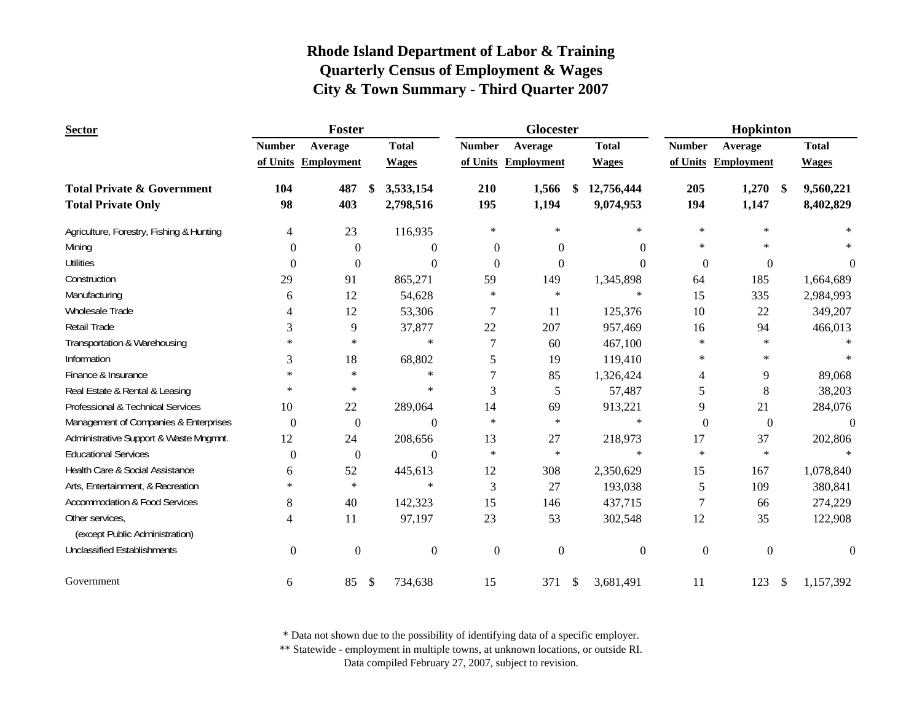| <b>Sector</b>                                     |                  | Foster            |                  |                  | Glocester           |            |                  |                  | Hopkinton           |     |                  |
|---------------------------------------------------|------------------|-------------------|------------------|------------------|---------------------|------------|------------------|------------------|---------------------|-----|------------------|
|                                                   | <b>Number</b>    | Average           | <b>Total</b>     | <b>Number</b>    | Average             |            | <b>Total</b>     | <b>Number</b>    | Average             |     | <b>Total</b>     |
|                                                   | of Units         | <b>Employment</b> | <b>Wages</b>     |                  | of Units Employment |            | <b>Wages</b>     |                  | of Units Employment |     | <b>Wages</b>     |
| <b>Total Private &amp; Government</b>             | 104              | 487               | \$<br>3,533,154  | 210              | 1,566               | \$         | 12,756,444       | 205              | 1,270               | -\$ | 9,560,221        |
| <b>Total Private Only</b>                         | 98               | 403               | 2,798,516        | 195              | 1,194               |            | 9,074,953        | 194              | 1,147               |     | 8,402,829        |
| Agriculture, Forestry, Fishing & Hunting          | 4                | 23                | 116,935          | $\ast$           | $\ast$              |            | $\ast$           | $\ast$           | $\ast$              |     | $\ast$           |
| Mining                                            | $\Omega$         | $\mathbf{0}$      | $\Omega$         | $\theta$         | $\theta$            |            | $\Omega$         | $\ast$           | $\ast$              |     |                  |
| <b>Utilities</b>                                  | $\Omega$         | $\mathbf{0}$      | $\Omega$         | $\Omega$         | $\Omega$            |            | $\Omega$         | $\Omega$         | $\theta$            |     | 0                |
| Construction                                      | 29               | 91                | 865,271          | 59               | 149                 |            | 1,345,898        | 64               | 185                 |     | 1,664,689        |
| Manufacturing                                     | 6                | 12                | 54,628           | $\ast$           | $\ast$              |            | $\ast$           | 15               | 335                 |     | 2,984,993        |
| Wholesale Trade                                   | $\overline{4}$   | 12                | 53,306           | 7                | 11                  |            | 125,376          | 10               | 22                  |     | 349,207          |
| <b>Retail Trade</b>                               | 3                | 9                 | 37,877           | 22               | 207                 |            | 957,469          | 16               | 94                  |     | 466,013          |
| Transportation & Warehousing                      | $\ast$           | $\ast$            | $\ast$           | 7                | 60                  |            | 467,100          | $\ast$           | $\ast$              |     |                  |
| Information                                       | 3                | 18                | 68,802           | 5                | 19                  |            | 119,410          | $\ast$           | $\ast$              |     |                  |
| Finance & Insurance                               | $\ast$           | $\star$           | $\ast$           | 7                | 85                  |            | 1,326,424        | 4                | 9                   |     | 89,068           |
| Real Estate & Rental & Leasing                    | $\ast$           | $\ast$            | $\ast$           | 3                | 5                   |            | 57,487           | 5                | $8\,$               |     | 38,203           |
| Professional & Technical Services                 | 10               | 22                | 289,064          | 14               | 69                  |            | 913,221          | 9                | 21                  |     | 284,076          |
| Management of Companies & Enterprises             | $\boldsymbol{0}$ | $\boldsymbol{0}$  | $\boldsymbol{0}$ | $\ast$           | $\ast$              |            | $\star$          | $\overline{0}$   | $\boldsymbol{0}$    |     | $\overline{0}$   |
| Administrative Support & Waste Mngmnt.            | 12               | 24                | 208,656          | 13               | 27                  |            | 218,973          | 17               | 37                  |     | 202,806          |
| <b>Educational Services</b>                       | $\Omega$         | $\mathbf{0}$      | $\Omega$         | $\ast$           | $\ast$              |            | $\ast$           | $\ast$           | $\ast$              |     |                  |
| Health Care & Social Assistance                   | 6                | 52                | 445,613          | 12               | 308                 |            | 2,350,629        | 15               | 167                 |     | 1,078,840        |
| Arts, Entertainment, & Recreation                 | $\ast$           | $\ast$            | $\ast$           | 3                | 27                  |            | 193,038          | 5                | 109                 |     | 380,841          |
| <b>Accommodation &amp; Food Services</b>          | 8                | 40                | 142,323          | 15               | 146                 |            | 437,715          | $\tau$           | 66                  |     | 274,229          |
| Other services,<br>(except Public Administration) | 4                | 11                | 97,197           | 23               | 53                  |            | 302,548          | 12               | 35                  |     | 122,908          |
| <b>Unclassified Establishments</b>                | $\boldsymbol{0}$ | $\boldsymbol{0}$  | $\boldsymbol{0}$ | $\boldsymbol{0}$ | $\boldsymbol{0}$    |            | $\boldsymbol{0}$ | $\boldsymbol{0}$ | $\boldsymbol{0}$    |     | $\boldsymbol{0}$ |
| Government                                        | 6                | 85                | \$<br>734,638    | 15               | 371                 | $\sqrt{3}$ | 3,681,491        | 11               | 123                 | -\$ | 1,157,392        |

\* Data not shown due to the possibility of identifying data of a specific employer.

\*\* Statewide - employment in multiple towns, at unknown locations, or outside RI.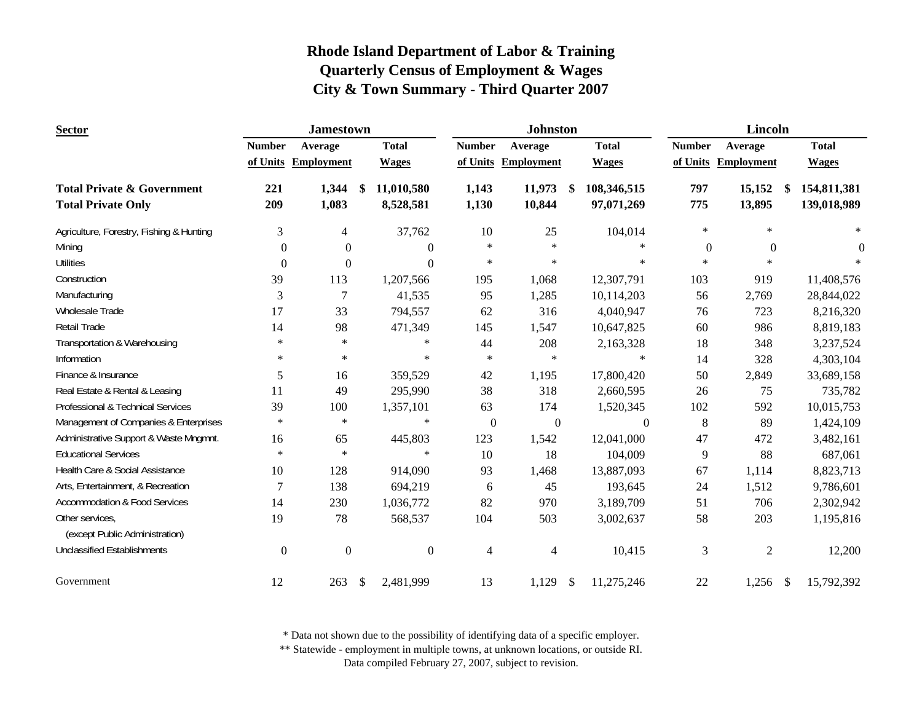| <b>Sector</b>                                                      |                  | <b>Jamestown</b>    |                                |                  | <b>Johnston</b>     |                                 |                | <b>Lincoln</b>         |                            |
|--------------------------------------------------------------------|------------------|---------------------|--------------------------------|------------------|---------------------|---------------------------------|----------------|------------------------|----------------------------|
|                                                                    | <b>Number</b>    | Average             | <b>Total</b>                   | <b>Number</b>    | Average             | <b>Total</b>                    | <b>Number</b>  | Average                | <b>Total</b>               |
|                                                                    |                  | of Units Employment | <b>Wages</b>                   |                  | of Units Employment | <b>Wages</b>                    |                | of Units Employment    | <b>Wages</b>               |
| <b>Total Private &amp; Government</b><br><b>Total Private Only</b> | 221<br>209       | 1,344<br>1,083      | 11,010,580<br>-SS<br>8,528,581 | 1,143<br>1,130   | 11,973<br>10,844    | \$<br>108,346,515<br>97,071,269 | 797<br>775     | 15,152<br>\$<br>13,895 | 154,811,381<br>139,018,989 |
| Agriculture, Forestry, Fishing & Hunting                           | 3                | 4                   | 37,762                         | 10               | 25                  | 104,014                         | $\ast$         | $\ast$                 | $\ast$                     |
| Mining                                                             | $\theta$         | $\Omega$            | $\theta$                       | $\ast$           | $\ast$              | $\ast$                          | $\theta$       | $\Omega$               | $\theta$                   |
| <b>Utilities</b>                                                   | $\Omega$         | 0                   | $\theta$                       | $\ast$           | $\ast$              | $\ast$                          | $\ast$         | $\ast$                 |                            |
| Construction                                                       | 39               | 113                 | 1,207,566                      | 195              | 1,068               | 12,307,791                      | 103            | 919                    | 11,408,576                 |
| Manufacturing                                                      | $\mathfrak{Z}$   | 7                   | 41,535                         | 95               | 1,285               | 10,114,203                      | 56             | 2,769                  | 28,844,022                 |
| Wholesale Trade                                                    | 17               | 33                  | 794,557                        | 62               | 316                 | 4,040,947                       | 76             | 723                    | 8,216,320                  |
| Retail Trade                                                       | 14               | 98                  | 471,349                        | 145              | 1,547               | 10,647,825                      | 60             | 986                    | 8,819,183                  |
| Transportation & Warehousing                                       | $\ast$           | $\ast$              | $\ast$                         | 44               | 208                 | 2,163,328                       | 18             | 348                    | 3,237,524                  |
| Information                                                        | $\ast$           | $\ast$              | $\star$                        | $\ast$           | $\ast$              | $\ast$                          | 14             | 328                    | 4,303,104                  |
| Finance & Insurance                                                | 5                | 16                  | 359,529                        | 42               | 1,195               | 17,800,420                      | 50             | 2,849                  | 33,689,158                 |
| Real Estate & Rental & Leasing                                     | 11               | 49                  | 295,990                        | 38               | 318                 | 2,660,595                       | 26             | 75                     | 735,782                    |
| Professional & Technical Services                                  | 39               | 100                 | 1,357,101                      | 63               | 174                 | 1,520,345                       | 102            | 592                    | 10,015,753                 |
| Management of Companies & Enterprises                              | $\ast$           | $\ast$              | $\ast$                         | $\boldsymbol{0}$ | $\boldsymbol{0}$    | $\boldsymbol{0}$                | $8\,$          | 89                     | 1,424,109                  |
| Administrative Support & Waste Mngmnt.                             | 16               | 65                  | 445,803                        | 123              | 1,542               | 12,041,000                      | 47             | 472                    | 3,482,161                  |
| <b>Educational Services</b>                                        | $\ast$           | $\ast$              | $\ast$                         | 10               | 18                  | 104,009                         | 9              | 88                     | 687,061                    |
| Health Care & Social Assistance                                    | 10               | 128                 | 914,090                        | 93               | 1,468               | 13,887,093                      | 67             | 1,114                  | 8,823,713                  |
| Arts, Entertainment, & Recreation                                  | $\overline{7}$   | 138                 | 694,219                        | 6                | 45                  | 193,645                         | 24             | 1,512                  | 9,786,601                  |
| <b>Accommodation &amp; Food Services</b>                           | 14               | 230                 | 1,036,772                      | 82               | 970                 | 3,189,709                       | 51             | 706                    | 2,302,942                  |
| Other services,<br>(except Public Administration)                  | 19               | 78                  | 568,537                        | 104              | 503                 | 3,002,637                       | 58             | 203                    | 1,195,816                  |
| <b>Unclassified Establishments</b>                                 | $\boldsymbol{0}$ | $\boldsymbol{0}$    | $\boldsymbol{0}$               | $\overline{4}$   | $\overline{4}$      | 10,415                          | $\mathfrak{Z}$ | $\mathfrak{2}$         | 12,200                     |
| Government                                                         | 12               | 263                 | $\mathcal{S}$<br>2,481,999     | 13               | 1,129               | \$<br>11,275,246                | 22             | 1,256<br>\$            | 15,792,392                 |

\* Data not shown due to the possibility of identifying data of a specific employer.

\*\* Statewide - employment in multiple towns, at unknown locations, or outside RI.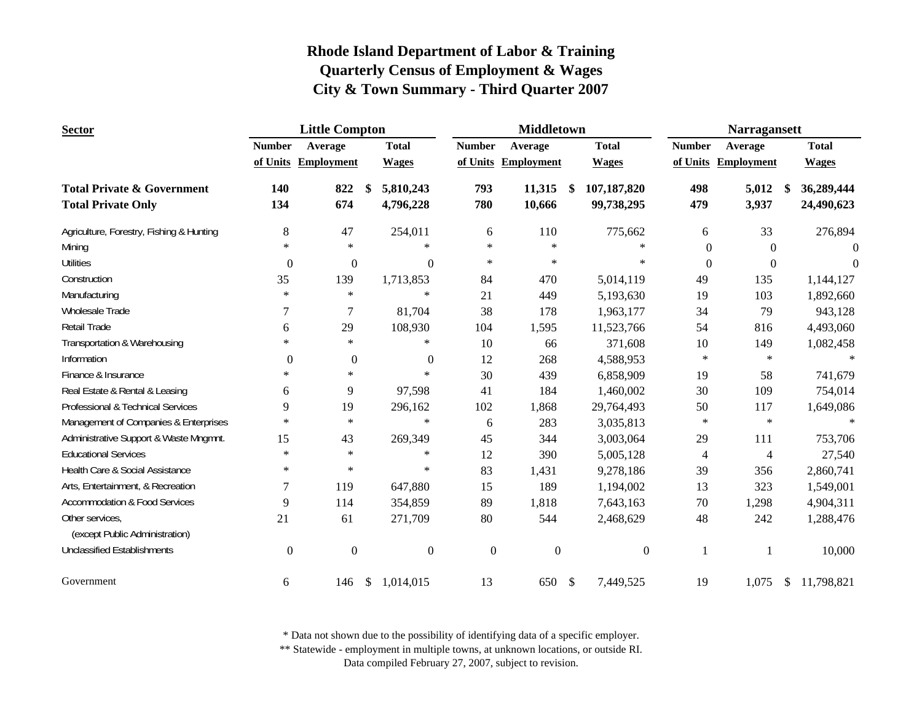| <b>Sector</b>                                     |                  | <b>Little Compton</b> |            |                  |                  | <b>Middletown</b>   |    |                  |                | <b>Narragansett</b> |              |              |
|---------------------------------------------------|------------------|-----------------------|------------|------------------|------------------|---------------------|----|------------------|----------------|---------------------|--------------|--------------|
|                                                   | <b>Number</b>    | Average               |            | <b>Total</b>     | <b>Number</b>    | Average             |    | <b>Total</b>     | <b>Number</b>  | Average             |              | <b>Total</b> |
|                                                   |                  | of Units Employment   |            | <b>Wages</b>     |                  | of Units Employment |    | <b>Wages</b>     |                | of Units Employment |              | <b>Wages</b> |
| <b>Total Private &amp; Government</b>             | 140              | 822                   | \$         | 5,810,243        | 793              | 11,315              | -S | 107,187,820      | 498            | 5,012               |              | 36,289,444   |
| <b>Total Private Only</b>                         | 134              | 674                   |            | 4,796,228        | 780              | 10,666              |    | 99,738,295       | 479            | 3,937               |              | 24,490,623   |
| Agriculture, Forestry, Fishing & Hunting          | $8\,$            | 47                    |            | 254,011          | 6                | 110                 |    | 775,662          | 6              | 33                  |              | 276,894      |
| Mining                                            | $\ast$           | $\ast$                |            | $\ast$           | $\ast$           | $\ast$              |    | $\ast$           | $\Omega$       | $\Omega$            |              | $\Omega$     |
| <b>Utilities</b>                                  | $\overline{0}$   | $\mathbf{0}$          |            | $\mathbf{0}$     | $\ast$           | $\ast$              |    | $\ast$           | $\overline{0}$ | $\mathbf{0}$        |              | $\Omega$     |
| Construction                                      | 35               | 139                   |            | 1,713,853        | 84               | 470                 |    | 5,014,119        | 49             | 135                 |              | 1,144,127    |
| Manufacturing                                     | $\ast$           | $\ast$                |            | $\ast$           | 21               | 449                 |    | 5,193,630        | 19             | 103                 |              | 1,892,660    |
| Wholesale Trade                                   | 7                | 7                     |            | 81,704           | 38               | 178                 |    | 1,963,177        | 34             | 79                  |              | 943,128      |
| <b>Retail Trade</b>                               | 6                | 29                    |            | 108,930          | 104              | 1,595               |    | 11,523,766       | 54             | 816                 |              | 4,493,060    |
| Transportation & Warehousing                      | $\ast$           | $\ast$                |            | $\ast$           | 10               | 66                  |    | 371,608          | 10             | 149                 |              | 1,082,458    |
| Information                                       | $\theta$         | $\boldsymbol{0}$      |            | $\boldsymbol{0}$ | 12               | 268                 |    | 4,588,953        | $\ast$         | $\ast$              |              | $\ast$       |
| Finance & Insurance                               | $\ast$           | $\ast$                |            | $\ast$           | 30               | 439                 |    | 6,858,909        | 19             | 58                  |              | 741,679      |
| Real Estate & Rental & Leasing                    | 6                | 9                     |            | 97,598           | 41               | 184                 |    | 1,460,002        | 30             | 109                 |              | 754,014      |
| Professional & Technical Services                 | 9                | 19                    |            | 296,162          | 102              | 1,868               |    | 29,764,493       | 50             | 117                 |              | 1,649,086    |
| Management of Companies & Enterprises             | $\ast$           | $\ast$                |            | $\ast$           | 6                | 283                 |    | 3,035,813        | $\ast$         | $\ast$              |              | $\ast$       |
| Administrative Support & Waste Mngmnt.            | 15               | 43                    |            | 269,349          | 45               | 344                 |    | 3,003,064        | 29             | 111                 |              | 753,706      |
| <b>Educational Services</b>                       | $\ast$           | $\ast$                |            | $\ast$           | 12               | 390                 |    | 5,005,128        | 4              | $\overline{4}$      |              | 27,540       |
| Health Care & Social Assistance                   | $\ast$           | $\ast$                |            | $\ast$           | 83               | 1,431               |    | 9,278,186        | 39             | 356                 |              | 2,860,741    |
| Arts, Entertainment, & Recreation                 | 7                | 119                   |            | 647,880          | 15               | 189                 |    | 1,194,002        | 13             | 323                 |              | 1,549,001    |
| <b>Accommodation &amp; Food Services</b>          | 9                | 114                   |            | 354,859          | 89               | 1,818               |    | 7,643,163        | 70             | 1,298               |              | 4,904,311    |
| Other services,<br>(except Public Administration) | 21               | 61                    |            | 271,709          | 80               | 544                 |    | 2,468,629        | 48             | 242                 |              | 1,288,476    |
| <b>Unclassified Establishments</b>                | $\boldsymbol{0}$ | $\boldsymbol{0}$      |            | $\boldsymbol{0}$ | $\boldsymbol{0}$ | $\boldsymbol{0}$    |    | $\boldsymbol{0}$ | 1              |                     |              | 10,000       |
| Government                                        | 6                | 146                   | $\sqrt{2}$ | 1,014,015        | 13               | 650                 | \$ | 7,449,525        | 19             | 1,075               | <sup>S</sup> | 11,798,821   |

\* Data not shown due to the possibility of identifying data of a specific employer.

\*\* Statewide - employment in multiple towns, at unknown locations, or outside RI.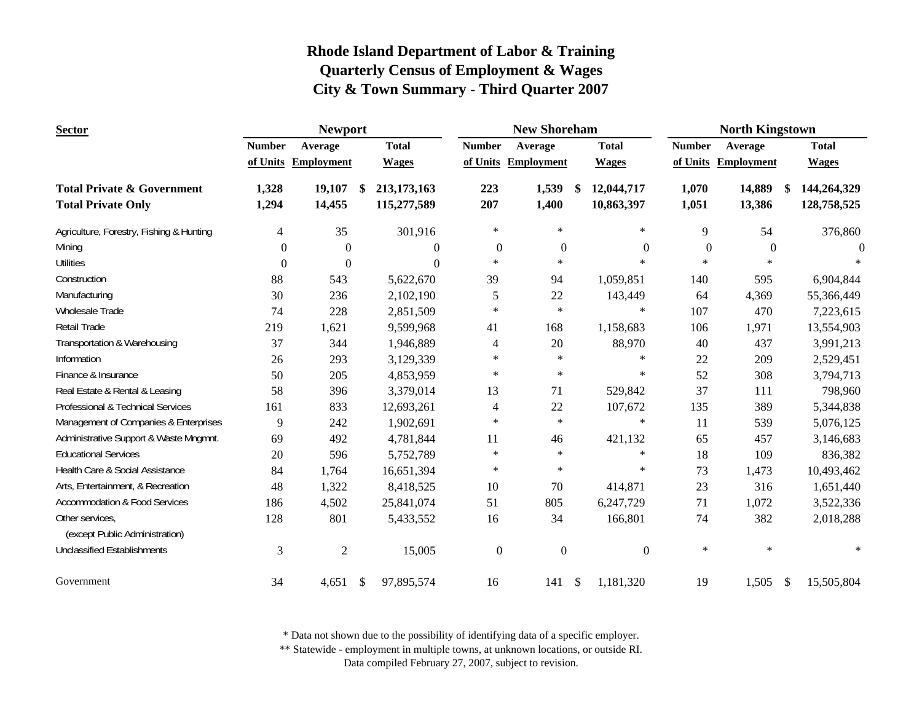| <b>Sector</b>                                                      |                | <b>Newport</b>      |                                  |                  | <b>New Shoreham</b> |               |                          |                  | <b>North Kingstown</b> |               |                            |
|--------------------------------------------------------------------|----------------|---------------------|----------------------------------|------------------|---------------------|---------------|--------------------------|------------------|------------------------|---------------|----------------------------|
|                                                                    | <b>Number</b>  | Average             | <b>Total</b>                     | <b>Number</b>    | Average             |               | <b>Total</b>             | <b>Number</b>    | Average                |               | <b>Total</b>               |
|                                                                    |                | of Units Employment | <b>Wages</b>                     |                  | of Units Employment |               | <b>Wages</b>             |                  | of Units Employment    |               | <b>Wages</b>               |
| <b>Total Private &amp; Government</b><br><b>Total Private Only</b> | 1,328<br>1,294 | 19,107<br>14,455    | \$<br>213,173,163<br>115,277,589 | 223<br>207       | 1,539<br>1,400      | \$            | 12,044,717<br>10,863,397 | 1,070<br>1,051   | 14,889<br>13,386       | <sup>\$</sup> | 144,264,329<br>128,758,525 |
| Agriculture, Forestry, Fishing & Hunting                           | $\overline{4}$ | 35                  | 301,916                          | $\ast$           | $\ast$              |               | $\ast$                   | 9                | 54                     |               | 376,860                    |
| Mining                                                             | $\theta$       | $\theta$            | $\theta$                         | $\overline{0}$   | $\overline{0}$      |               | $\mathbf{0}$             | $\boldsymbol{0}$ | $\theta$               |               | $\theta$                   |
| <b>Utilities</b>                                                   | $\theta$       | $\overline{0}$      | $\Omega$                         | $\ast$           | $\star$             |               | $\ast$                   | $\ast$           | $\ast$                 |               | $\ast$                     |
| Construction                                                       | 88             | 543                 | 5,622,670                        | 39               | 94                  |               | 1,059,851                | 140              | 595                    |               | 6,904,844                  |
| Manufacturing                                                      | 30             | 236                 | 2,102,190                        | 5                | 22                  |               | 143,449                  | 64               | 4,369                  |               | 55,366,449                 |
| Wholesale Trade                                                    | 74             | 228                 | 2,851,509                        | $\ast$           | $\star$             |               | $\ast$                   | 107              | 470                    |               | 7,223,615                  |
| Retail Trade                                                       | 219            | 1,621               | 9,599,968                        | 41               | 168                 |               | 1,158,683                | 106              | 1,971                  |               | 13,554,903                 |
| Transportation & Warehousing                                       | 37             | 344                 | 1,946,889                        | 4                | 20                  |               | 88,970                   | 40               | 437                    |               | 3,991,213                  |
| Information                                                        | 26             | 293                 | 3,129,339                        | $\ast$           | $\ast$              |               | $\ast$                   | 22               | 209                    |               | 2,529,451                  |
| Finance & Insurance                                                | 50             | 205                 | 4,853,959                        | $\ast$           | $\ast$              |               | $\ast$                   | 52               | 308                    |               | 3,794,713                  |
| Real Estate & Rental & Leasing                                     | 58             | 396                 | 3,379,014                        | 13               | 71                  |               | 529,842                  | 37               | 111                    |               | 798,960                    |
| Professional & Technical Services                                  | 161            | 833                 | 12,693,261                       | 4                | $22\,$              |               | 107,672                  | 135              | 389                    |               | 5,344,838                  |
| Management of Companies & Enterprises                              | 9              | 242                 | 1,902,691                        | $\ast$           | $\star$             |               | $\ast$                   | 11               | 539                    |               | 5,076,125                  |
| Administrative Support & Waste Mngmnt.                             | 69             | 492                 | 4,781,844                        | 11               | 46                  |               | 421,132                  | 65               | 457                    |               | 3,146,683                  |
| <b>Educational Services</b>                                        | 20             | 596                 | 5,752,789                        | $\ast$           | $\ast$              |               | $\ast$                   | 18               | 109                    |               | 836,382                    |
| Health Care & Social Assistance                                    | 84             | 1,764               | 16,651,394                       | $\ast$           | $\ast$              |               | $\ast$                   | 73               | 1,473                  |               | 10,493,462                 |
| Arts, Entertainment, & Recreation                                  | 48             | 1,322               | 8,418,525                        | 10               | 70                  |               | 414,871                  | 23               | 316                    |               | 1,651,440                  |
| <b>Accommodation &amp; Food Services</b>                           | 186            | 4,502               | 25,841,074                       | 51               | 805                 |               | 6,247,729                | 71               | 1,072                  |               | 3,522,336                  |
| Other services,<br>(except Public Administration)                  | 128            | 801                 | 5,433,552                        | 16               | 34                  |               | 166,801                  | 74               | 382                    |               | 2,018,288                  |
| <b>Unclassified Establishments</b>                                 | 3              | $\mathfrak{2}$      | 15,005                           | $\boldsymbol{0}$ | $\mathbf{0}$        |               | $\boldsymbol{0}$         | $\ast$           | $\ast$                 |               | $\ast$                     |
| Government                                                         | 34             | 4,651               | \$<br>97,895,574                 | 16               | 141                 | $\mathcal{S}$ | 1,181,320                | 19               | 1,505                  | $\mathcal{S}$ | 15,505,804                 |

\* Data not shown due to the possibility of identifying data of a specific employer.

\*\* Statewide - employment in multiple towns, at unknown locations, or outside RI.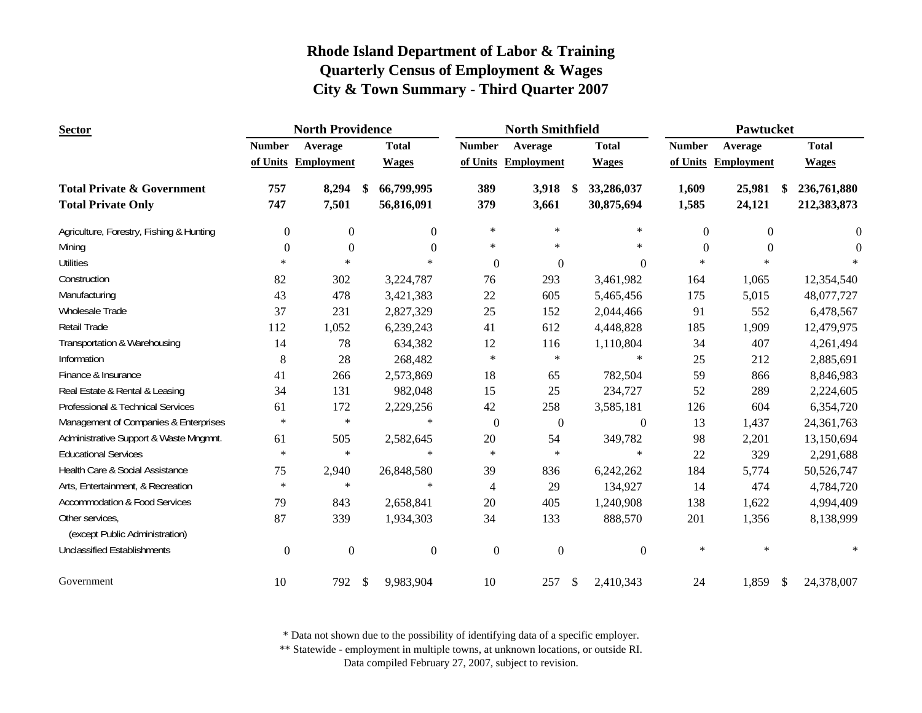| <b>Sector</b>                                     |                  | <b>North Providence</b> |    |                  |                  | <b>North Smithfield</b> |    |                  |                | Pawtucket               |              |
|---------------------------------------------------|------------------|-------------------------|----|------------------|------------------|-------------------------|----|------------------|----------------|-------------------------|--------------|
|                                                   | <b>Number</b>    | Average                 |    | <b>Total</b>     | <b>Number</b>    | Average                 |    | <b>Total</b>     | <b>Number</b>  | Average                 | <b>Total</b> |
|                                                   |                  | of Units Employment     |    | <b>Wages</b>     |                  | of Units Employment     |    | <b>Wages</b>     |                | of Units Employment     | <b>Wages</b> |
| <b>Total Private &amp; Government</b>             | 757              | 8,294                   | -S | 66,799,995       | 389              | 3,918                   | S. | 33,286,037       | 1,609          | 25,981<br><sup>\$</sup> | 236,761,880  |
| <b>Total Private Only</b>                         | 747              | 7,501                   |    | 56,816,091       | 379              | 3,661                   |    | 30,875,694       | 1,585          | 24,121                  | 212,383,873  |
| Agriculture, Forestry, Fishing & Hunting          | $\boldsymbol{0}$ | $\boldsymbol{0}$        |    | $\Omega$         | $\ast$           | $\ast$                  |    | $\ast$           | $\overline{0}$ | $\mathbf{0}$            | $\mathbf{0}$ |
| Mining                                            | $\theta$         | $\Omega$                |    | $\Omega$         | $\ast$           | $\ast$                  |    | $\ast$           | $\Omega$       | $\Omega$                | $\Omega$     |
| <b>Utilities</b>                                  | $\ast$           | $\ast$                  |    | $\ast$           | $\theta$         | $\overline{0}$          |    | $\overline{0}$   | $\ast$         | $\ast$                  |              |
| Construction                                      | 82               | 302                     |    | 3,224,787        | 76               | 293                     |    | 3,461,982        | 164            | 1,065                   | 12,354,540   |
| Manufacturing                                     | 43               | 478                     |    | 3,421,383        | 22               | 605                     |    | 5,465,456        | 175            | 5,015                   | 48,077,727   |
| Wholesale Trade                                   | 37               | 231                     |    | 2,827,329        | 25               | 152                     |    | 2,044,466        | 91             | 552                     | 6,478,567    |
| Retail Trade                                      | 112              | 1,052                   |    | 6,239,243        | 41               | 612                     |    | 4,448,828        | 185            | 1,909                   | 12,479,975   |
| Transportation & Warehousing                      | 14               | 78                      |    | 634,382          | 12               | 116                     |    | 1,110,804        | 34             | 407                     | 4,261,494    |
| Information                                       | $\,$ 8 $\,$      | 28                      |    | 268,482          | $\ast$           | $\ast$                  |    | $\ast$           | 25             | 212                     | 2,885,691    |
| Finance & Insurance                               | 41               | 266                     |    | 2,573,869        | 18               | 65                      |    | 782,504          | 59             | 866                     | 8,846,983    |
| Real Estate & Rental & Leasing                    | 34               | 131                     |    | 982,048          | 15               | 25                      |    | 234,727          | 52             | 289                     | 2,224,605    |
| Professional & Technical Services                 | 61               | 172                     |    | 2,229,256        | 42               | 258                     |    | 3,585,181        | 126            | 604                     | 6,354,720    |
| Management of Companies & Enterprises             | $\ast$           | $\ast$                  |    | $\ast$           | $\boldsymbol{0}$ | $\boldsymbol{0}$        |    | $\boldsymbol{0}$ | 13             | 1,437                   | 24,361,763   |
| Administrative Support & Waste Mngmnt.            | 61               | 505                     |    | 2,582,645        | 20               | 54                      |    | 349,782          | 98             | 2,201                   | 13,150,694   |
| <b>Educational Services</b>                       | $\ast$           | $\ast$                  |    | $\ast$           | $\ast$           | $\ast$                  |    | $\ast$           | 22             | 329                     | 2,291,688    |
| Health Care & Social Assistance                   | 75               | 2,940                   |    | 26,848,580       | 39               | 836                     |    | 6,242,262        | 184            | 5,774                   | 50,526,747   |
| Arts, Entertainment, & Recreation                 | $\ast$           | $\ast$                  |    | $\ast$           | $\overline{4}$   | 29                      |    | 134,927          | 14             | 474                     | 4,784,720    |
| <b>Accommodation &amp; Food Services</b>          | 79               | 843                     |    | 2,658,841        | 20               | 405                     |    | 1,240,908        | 138            | 1,622                   | 4,994,409    |
| Other services,<br>(except Public Administration) | 87               | 339                     |    | 1,934,303        | 34               | 133                     |    | 888,570          | 201            | 1,356                   | 8,138,999    |
| <b>Unclassified Establishments</b>                | $\boldsymbol{0}$ | $\mathbf{0}$            |    | $\boldsymbol{0}$ | $\boldsymbol{0}$ | $\boldsymbol{0}$        |    | $\boldsymbol{0}$ | $\ast$         | $\ast$                  | $\ast$       |
| Government                                        | 10               | 792                     | \$ | 9,983,904        | 10               | 257                     | \$ | 2,410,343        | 24             | 1,859<br>\$             | 24,378,007   |

\* Data not shown due to the possibility of identifying data of a specific employer.

\*\* Statewide - employment in multiple towns, at unknown locations, or outside RI.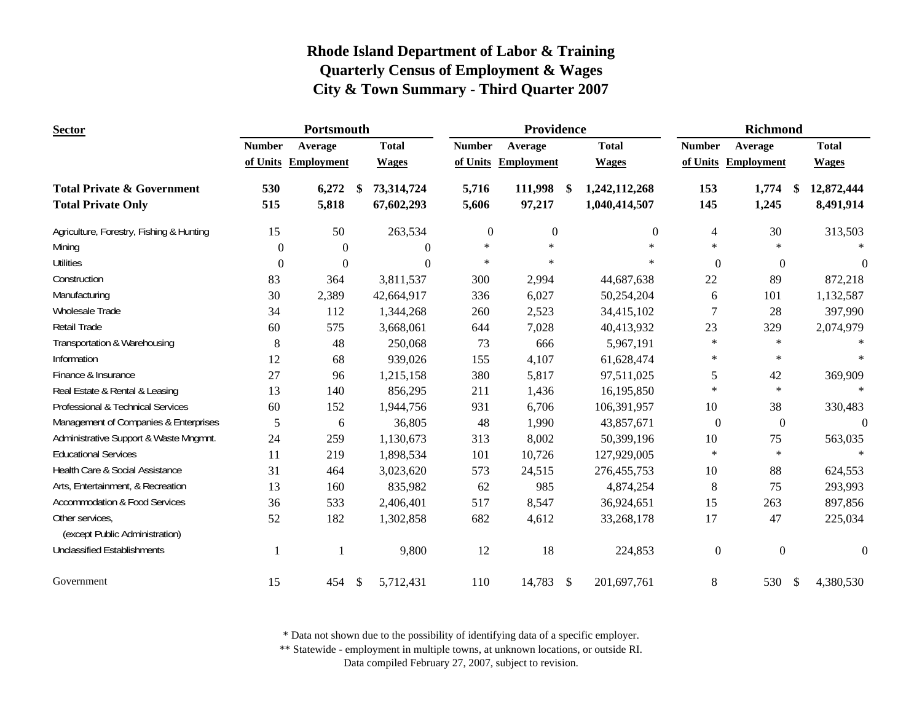| <b>Sector</b>                                     |               | Portsmouth          |               |                |               | Providence        |               |               |                  | <b>Richmond</b>     |               |              |
|---------------------------------------------------|---------------|---------------------|---------------|----------------|---------------|-------------------|---------------|---------------|------------------|---------------------|---------------|--------------|
|                                                   | <b>Number</b> | Average             | <b>Total</b>  |                | <b>Number</b> | Average           |               | <b>Total</b>  | <b>Number</b>    | Average             |               | <b>Total</b> |
|                                                   |               | of Units Employment | <b>Wages</b>  |                | of Units      | <b>Employment</b> |               | <b>Wages</b>  |                  | of Units Employment |               | <b>Wages</b> |
| <b>Total Private &amp; Government</b>             | 530           | 6,272               | <sup>\$</sup> | 73,314,724     | 5,716         | 111,998           | <sup>\$</sup> | 1,242,112,268 | 153              | 1,774               | -\$           | 12,872,444   |
| <b>Total Private Only</b>                         | 515           | 5,818               |               | 67,602,293     | 5,606         | 97,217            |               | 1,040,414,507 | 145              | 1,245               |               | 8,491,914    |
| Agriculture, Forestry, Fishing & Hunting          | 15            | 50                  |               | 263,534        | $\mathbf{0}$  | $\mathbf{0}$      |               | $\Omega$      | 4                | 30                  |               | 313,503      |
| Mining                                            | $\Omega$      | $\mathbf{0}$        |               | $\overline{0}$ | $\ast$        | $\ast$            |               | $\ast$        | $\ast$           | $\ast$              |               |              |
| <b>Utilities</b>                                  | $\theta$      | $\overline{0}$      |               | $\Omega$       | $\ast$        | $\ast$            |               | $\ast$        | $\mathbf{0}$     | $\theta$            |               | $\theta$     |
| Construction                                      | 83            | 364                 |               | 3,811,537      | 300           | 2,994             |               | 44,687,638    | 22               | 89                  |               | 872,218      |
| Manufacturing                                     | 30            | 2,389               |               | 42,664,917     | 336           | 6,027             |               | 50,254,204    | 6                | 101                 |               | 1,132,587    |
| Wholesale Trade                                   | 34            | 112                 |               | 1,344,268      | 260           | 2,523             |               | 34,415,102    | 7                | 28                  |               | 397,990      |
| Retail Trade                                      | 60            | 575                 |               | 3,668,061      | 644           | 7,028             |               | 40,413,932    | 23               | 329                 |               | 2,074,979    |
| Transportation & Warehousing                      | 8             | 48                  |               | 250,068        | 73            | 666               |               | 5,967,191     | $\ast$           | $\ast$              |               |              |
| Information                                       | 12            | 68                  |               | 939,026        | 155           | 4,107             |               | 61,628,474    | $\ast$           | $\ast$              |               | $\star$      |
| Finance & Insurance                               | 27            | 96                  |               | 1,215,158      | 380           | 5,817             |               | 97,511,025    | $\mathfrak{S}$   | 42                  |               | 369,909      |
| Real Estate & Rental & Leasing                    | 13            | 140                 |               | 856,295        | 211           | 1,436             |               | 16,195,850    | $\ast$           | $\ast$              |               | $\ast$       |
| Professional & Technical Services                 | 60            | 152                 |               | 1,944,756      | 931           | 6,706             |               | 106,391,957   | 10               | 38                  |               | 330,483      |
| Management of Companies & Enterprises             | 5             | 6                   |               | 36,805         | 48            | 1,990             |               | 43,857,671    | $\boldsymbol{0}$ | $\boldsymbol{0}$    |               | $\theta$     |
| Administrative Support & Waste Mngmnt.            | 24            | 259                 |               | 1,130,673      | 313           | 8,002             |               | 50,399,196    | $10\,$           | 75                  |               | 563,035      |
| <b>Educational Services</b>                       | 11            | 219                 |               | 1,898,534      | 101           | 10,726            |               | 127,929,005   | $\ast$           | $\ast$              |               | $\star$      |
| Health Care & Social Assistance                   | 31            | 464                 |               | 3,023,620      | 573           | 24,515            |               | 276,455,753   | 10               | 88                  |               | 624,553      |
| Arts, Entertainment, & Recreation                 | 13            | 160                 |               | 835,982        | 62            | 985               |               | 4,874,254     | $\,8\,$          | 75                  |               | 293,993      |
| <b>Accommodation &amp; Food Services</b>          | 36            | 533                 |               | 2,406,401      | 517           | 8,547             |               | 36,924,651    | 15               | 263                 |               | 897,856      |
| Other services,<br>(except Public Administration) | 52            | 182                 |               | 1,302,858      | 682           | 4,612             |               | 33,268,178    | 17               | 47                  |               | 225,034      |
| <b>Unclassified Establishments</b>                | 1             |                     |               | 9,800          | 12            | 18                |               | 224,853       | $\boldsymbol{0}$ | $\boldsymbol{0}$    |               | $\mathbf{0}$ |
| Government                                        | 15            | 454                 | $\mathcal{S}$ | 5,712,431      | 110           | 14,783 \$         |               | 201,697,761   | $8\,$            | 530                 | $\mathcal{S}$ | 4,380,530    |

\* Data not shown due to the possibility of identifying data of a specific employer.

\*\* Statewide - employment in multiple towns, at unknown locations, or outside RI.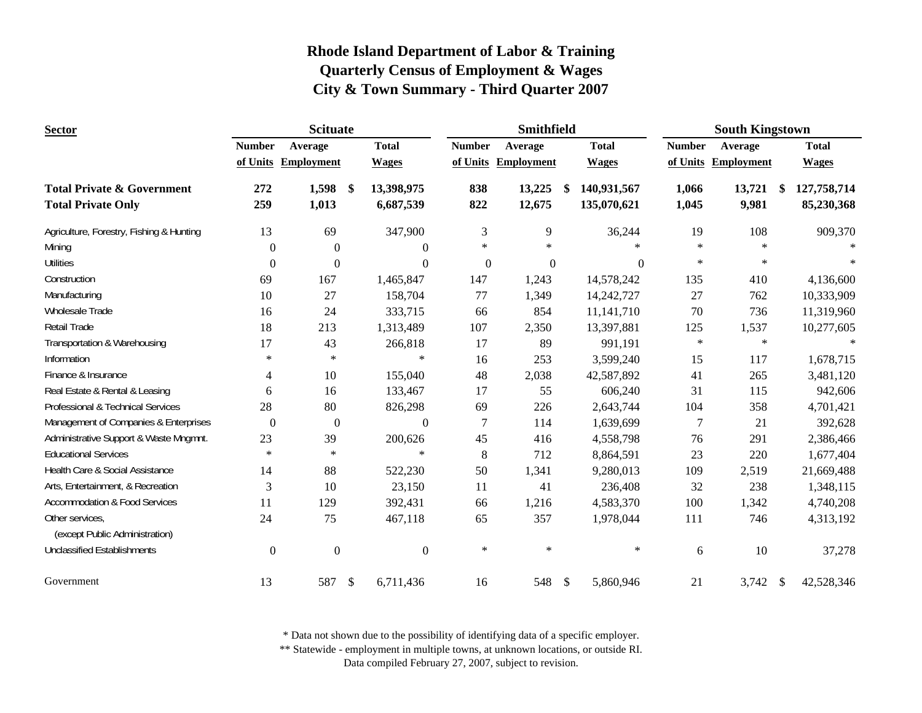| <b>Sector</b>                            |                  | <b>Scituate</b>     |                           |                  |               | Smithfield          |      |              |               | <b>South Kingstown</b> |               |              |
|------------------------------------------|------------------|---------------------|---------------------------|------------------|---------------|---------------------|------|--------------|---------------|------------------------|---------------|--------------|
|                                          | <b>Number</b>    | Average             |                           | <b>Total</b>     | <b>Number</b> | Average             |      | <b>Total</b> | <b>Number</b> | Average                |               | <b>Total</b> |
|                                          |                  | of Units Employment |                           | <b>Wages</b>     |               | of Units Employment |      | <b>Wages</b> |               | of Units Employment    |               | <b>Wages</b> |
| <b>Total Private &amp; Government</b>    | 272              | 1,598               | $\boldsymbol{\$}$         | 13,398,975       | 838           | 13,225              | - \$ | 140,931,567  | 1,066         | 13,721                 | <sup>\$</sup> | 127,758,714  |
| <b>Total Private Only</b>                | 259              | 1,013               |                           | 6,687,539        | 822           | 12,675              |      | 135,070,621  | 1,045         | 9,981                  |               | 85,230,368   |
| Agriculture, Forestry, Fishing & Hunting | 13               | 69                  |                           | 347,900          | 3             | 9                   |      | 36,244       | 19            | 108                    |               | 909,370      |
| Mining                                   | $\theta$         | $\theta$            |                           | $\theta$         | $\ast$        | $\ast$              |      | $\ast$       | $\ast$        | $\star$                |               |              |
| <b>Utilities</b>                         | $\overline{0}$   | $\theta$            |                           | $\Omega$         | $\mathbf{0}$  | $\boldsymbol{0}$    |      | $\Omega$     | $\ast$        | $\ast$                 |               |              |
| Construction                             | 69               | 167                 |                           | 1,465,847        | 147           | 1,243               |      | 14,578,242   | 135           | 410                    |               | 4,136,600    |
| Manufacturing                            | 10               | 27                  |                           | 158,704          | 77            | 1,349               |      | 14,242,727   | 27            | 762                    |               | 10,333,909   |
| Wholesale Trade                          | 16               | 24                  |                           | 333,715          | 66            | 854                 |      | 11, 141, 710 | 70            | 736                    |               | 11,319,960   |
| Retail Trade                             | 18               | 213                 |                           | 1,313,489        | 107           | 2,350               |      | 13,397,881   | 125           | 1,537                  |               | 10,277,605   |
| Transportation & Warehousing             | 17               | 43                  |                           | 266,818          | 17            | 89                  |      | 991,191      | $\ast$        | $\ast$                 |               |              |
| Information                              | $\ast$           | $\ast$              |                           | $\ast$           | 16            | 253                 |      | 3,599,240    | 15            | 117                    |               | 1,678,715    |
| Finance & Insurance                      | $\overline{4}$   | 10                  |                           | 155,040          | 48            | 2,038               |      | 42,587,892   | 41            | 265                    |               | 3,481,120    |
| Real Estate & Rental & Leasing           | 6                | 16                  |                           | 133,467          | 17            | 55                  |      | 606,240      | 31            | 115                    |               | 942,606      |
| Professional & Technical Services        | 28               | 80                  |                           | 826,298          | 69            | 226                 |      | 2,643,744    | 104           | 358                    |               | 4,701,421    |
| Management of Companies & Enterprises    | $\boldsymbol{0}$ | $\boldsymbol{0}$    |                           | $\overline{0}$   | 7             | 114                 |      | 1,639,699    | 7             | 21                     |               | 392,628      |
| Administrative Support & Waste Mngmnt.   | 23               | 39                  |                           | 200,626          | 45            | 416                 |      | 4,558,798    | 76            | 291                    |               | 2,386,466    |
| <b>Educational Services</b>              | $\ast$           | $\ast$              |                           | $\ast$           | $8\,$         | 712                 |      | 8,864,591    | 23            | 220                    |               | 1,677,404    |
| Health Care & Social Assistance          | 14               | 88                  |                           | 522,230          | 50            | 1,341               |      | 9,280,013    | 109           | 2,519                  |               | 21,669,488   |
| Arts, Entertainment, & Recreation        | 3                | 10                  |                           | 23,150           | 11            | 41                  |      | 236,408      | 32            | 238                    |               | 1,348,115    |
| <b>Accommodation &amp; Food Services</b> | 11               | 129                 |                           | 392,431          | 66            | 1,216               |      | 4,583,370    | 100           | 1,342                  |               | 4,740,208    |
| Other services,                          | 24               | 75                  |                           | 467,118          | 65            | 357                 |      | 1,978,044    | 111           | 746                    |               | 4,313,192    |
| (except Public Administration)           |                  |                     |                           |                  |               |                     |      |              |               |                        |               |              |
| <b>Unclassified Establishments</b>       | $\boldsymbol{0}$ | $\boldsymbol{0}$    |                           | $\boldsymbol{0}$ | $\ast$        | $\ast$              |      | $\star$      | 6             | 10                     |               | 37,278       |
| Government                               | 13               | 587                 | $\boldsymbol{\mathsf{S}}$ | 6,711,436        | 16            | 548 \$              |      | 5,860,946    | 21            | 3,742                  | -S            | 42,528,346   |

\* Data not shown due to the possibility of identifying data of a specific employer.

\*\* Statewide - employment in multiple towns, at unknown locations, or outside RI.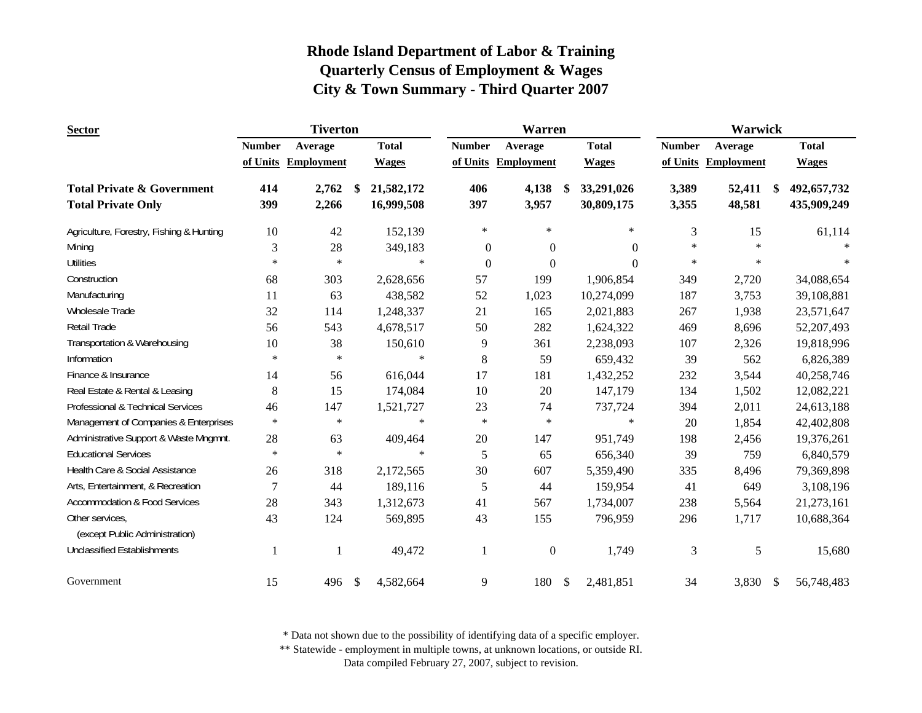| <b>Sector</b>                                     |               | <b>Tiverton</b>   |                  |                | Warren              |               |              |                | <b>Warwick</b>    |                   |
|---------------------------------------------------|---------------|-------------------|------------------|----------------|---------------------|---------------|--------------|----------------|-------------------|-------------------|
|                                                   | <b>Number</b> | Average           | <b>Total</b>     | <b>Number</b>  | Average             |               | <b>Total</b> | <b>Number</b>  | Average           | <b>Total</b>      |
|                                                   | of Units      | <b>Employment</b> | <b>Wages</b>     |                | of Units Employment |               | <b>Wages</b> | of Units       | <b>Employment</b> | <b>Wages</b>      |
| <b>Total Private &amp; Government</b>             | 414           | 2,762             | \$<br>21,582,172 | 406            | 4,138               | \$            | 33,291,026   | 3,389          | 52,411            | \$<br>492,657,732 |
| <b>Total Private Only</b>                         | 399           | 2,266             | 16,999,508       | 397            | 3,957               |               | 30,809,175   | 3,355          | 48,581            | 435,909,249       |
| Agriculture, Forestry, Fishing & Hunting          | 10            | 42                | 152,139          | $\ast$         | $\ast$              |               | $\ast$       | 3              | 15                | 61,114            |
| Mining                                            | 3             | 28                | 349,183          | $\mathbf{0}$   | $\boldsymbol{0}$    |               | $\theta$     | $\ast$         | $\ast$            |                   |
| <b>Utilities</b>                                  | $\ast$        | $\ast$            | $\ast$           | $\overline{0}$ | $\boldsymbol{0}$    |               | $\Omega$     | $\ast$         | $\ast$            | $\ast$            |
| Construction                                      | 68            | 303               | 2,628,656        | 57             | 199                 |               | 1,906,854    | 349            | 2,720             | 34,088,654        |
| Manufacturing                                     | 11            | 63                | 438,582          | 52             | 1,023               |               | 10,274,099   | 187            | 3,753             | 39,108,881        |
| <b>Wholesale Trade</b>                            | 32            | 114               | 1,248,337        | 21             | 165                 |               | 2,021,883    | 267            | 1,938             | 23,571,647        |
| <b>Retail Trade</b>                               | 56            | 543               | 4,678,517        | 50             | 282                 |               | 1,624,322    | 469            | 8,696             | 52, 207, 493      |
| Transportation & Warehousing                      | 10            | 38                | 150,610          | 9              | 361                 |               | 2,238,093    | 107            | 2,326             | 19,818,996        |
| Information                                       | $\ast$        | $\ast$            | $\ast$           | 8              | 59                  |               | 659,432      | 39             | 562               | 6,826,389         |
| Finance & Insurance                               | 14            | 56                | 616,044          | 17             | 181                 |               | 1,432,252    | 232            | 3,544             | 40,258,746        |
| Real Estate & Rental & Leasing                    | 8             | 15                | 174,084          | 10             | 20                  |               | 147,179      | 134            | 1,502             | 12,082,221        |
| Professional & Technical Services                 | 46            | 147               | 1,521,727        | 23             | 74                  |               | 737,724      | 394            | 2,011             | 24,613,188        |
| Management of Companies & Enterprises             | $\ast$        | $\ast$            | $\ast$           | $\ast$         | $\ast$              |               | $\ast$       | $20\,$         | 1,854             | 42,402,808        |
| Administrative Support & Waste Mngmnt.            | 28            | 63                | 409,464          | 20             | 147                 |               | 951,749      | 198            | 2,456             | 19,376,261        |
| <b>Educational Services</b>                       | $\ast$        | $\ast$            | $\ast$           | 5              | 65                  |               | 656,340      | 39             | 759               | 6,840,579         |
| Health Care & Social Assistance                   | 26            | 318               | 2,172,565        | 30             | 607                 |               | 5,359,490    | 335            | 8,496             | 79,369,898        |
| Arts, Entertainment, & Recreation                 | 7             | 44                | 189,116          | 5              | 44                  |               | 159,954      | 41             | 649               | 3,108,196         |
| Accommodation & Food Services                     | 28            | 343               | 1,312,673        | 41             | 567                 |               | 1,734,007    | 238            | 5,564             | 21,273,161        |
| Other services,<br>(except Public Administration) | 43            | 124               | 569,895          | 43             | 155                 |               | 796,959      | 296            | 1,717             | 10,688,364        |
| <b>Unclassified Establishments</b>                | -1            |                   | 49,472           | 1              | $\boldsymbol{0}$    |               | 1,749        | $\mathfrak{Z}$ | 5                 | 15,680            |
| Government                                        | 15            | 496               | \$<br>4,582,664  | 9              | 180                 | $\mathcal{S}$ | 2,481,851    | 34             | 3,830             | \$<br>56,748,483  |

\* Data not shown due to the possibility of identifying data of a specific employer.

\*\* Statewide - employment in multiple towns, at unknown locations, or outside RI.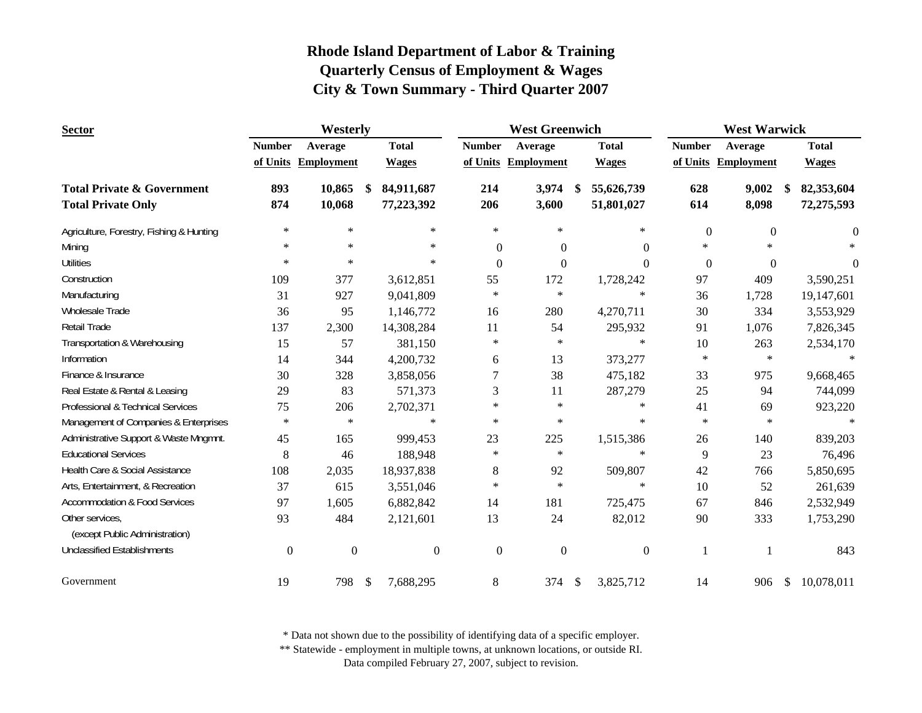| <b>Sector</b>                            | Westerly      |                     |     |                  |                  | <b>West Greenwich</b> |     | <b>West Warwick</b> |               |                     |    |              |  |
|------------------------------------------|---------------|---------------------|-----|------------------|------------------|-----------------------|-----|---------------------|---------------|---------------------|----|--------------|--|
|                                          | <b>Number</b> | Average             |     | <b>Total</b>     | <b>Number</b>    | Average               |     | <b>Total</b>        | <b>Number</b> | Average             |    | <b>Total</b> |  |
|                                          |               | of Units Employment |     | <b>Wages</b>     |                  | of Units Employment   |     | <b>Wages</b>        |               | of Units Employment |    | <b>Wages</b> |  |
| <b>Total Private &amp; Government</b>    | 893           | 10,865              | -S  | 84,911,687       | 214              | 3,974                 | \$. | 55,626,739          | 628           | 9,002               |    | 82,353,604   |  |
| <b>Total Private Only</b>                | 874           | 10,068              |     | 77,223,392       | 206              | 3,600                 |     | 51,801,027          | 614           | 8,098               |    | 72,275,593   |  |
| Agriculture, Forestry, Fishing & Hunting | $\ast$        | $\ast$              |     | $\ast$           | $\ast$           | $\ast$                |     | $\ast$              | $\mathbf{0}$  | $\Omega$            |    | $\Omega$     |  |
| Mining                                   | $\ast$        | $\ast$              |     | $\ast$           | $\Omega$         | $\Omega$              |     | $\Omega$            | $\ast$        | $\ast$              |    |              |  |
| <b>Utilities</b>                         | $\ast$        | $\ast$              |     | $\ast$           | $\theta$         | $\theta$              |     | $\Omega$            | $\theta$      | $\mathbf{0}$        |    | $\Omega$     |  |
| Construction                             | 109           | 377                 |     | 3,612,851        | 55               | 172                   |     | 1,728,242           | 97            | 409                 |    | 3,590,251    |  |
| Manufacturing                            | 31            | 927                 |     | 9,041,809        | $\ast$           | $\ast$                |     | $\ast$              | 36            | 1,728               |    | 19,147,601   |  |
| Wholesale Trade                          | 36            | 95                  |     | 1,146,772        | 16               | 280                   |     | 4,270,711           | 30            | 334                 |    | 3,553,929    |  |
| Retail Trade                             | 137           | 2,300               |     | 14,308,284       | 11               | 54                    |     | 295,932             | 91            | 1,076               |    | 7,826,345    |  |
| Transportation & Warehousing             | 15            | 57                  |     | 381,150          | $\ast$           | $\ast$                |     | $\ast$              | 10            | 263                 |    | 2,534,170    |  |
| Information                              | 14            | 344                 |     | 4,200,732        | 6                | 13                    |     | 373,277             | $\ast$        | $\ast$              |    | $\ast$       |  |
| Finance & Insurance                      | 30            | 328                 |     | 3,858,056        | 7                | 38                    |     | 475,182             | 33            | 975                 |    | 9,668,465    |  |
| Real Estate & Rental & Leasing           | 29            | 83                  |     | 571,373          | 3                | 11                    |     | 287,279             | 25            | 94                  |    | 744,099      |  |
| Professional & Technical Services        | 75            | 206                 |     | 2,702,371        | $\ast$           | $\ast$                |     | $\ast$              | 41            | 69                  |    | 923,220      |  |
| Management of Companies & Enterprises    | $\ast$        | $\ast$              |     | $\ast$           | $\ast$           | $\ast$                |     | $\ast$              | $\ast$        | $\ast$              |    | $\ast$       |  |
| Administrative Support & Waste Mngmnt.   | 45            | 165                 |     | 999,453          | 23               | 225                   |     | 1,515,386           | 26            | 140                 |    | 839,203      |  |
| <b>Educational Services</b>              | 8             | 46                  |     | 188,948          | $\ast$           | $\ast$                |     | $\ast$              | 9             | 23                  |    | 76,496       |  |
| Health Care & Social Assistance          | 108           | 2,035               |     | 18,937,838       | 8                | 92                    |     | 509,807             | 42            | 766                 |    | 5,850,695    |  |
| Arts, Entertainment, & Recreation        | 37            | 615                 |     | 3,551,046        | $\ast$           | $\ast$                |     | $\ast$              | 10            | 52                  |    | 261,639      |  |
| <b>Accommodation &amp; Food Services</b> | 97            | 1,605               |     | 6,882,842        | 14               | 181                   |     | 725,475             | 67            | 846                 |    | 2,532,949    |  |
| Other services,                          | 93            | 484                 |     | 2,121,601        | 13               | 24                    |     | 82,012              | 90            | 333                 |    | 1,753,290    |  |
| (except Public Administration)           |               |                     |     |                  |                  |                       |     |                     |               |                     |    |              |  |
| <b>Unclassified Establishments</b>       | $\mathbf{0}$  | $\boldsymbol{0}$    |     | $\boldsymbol{0}$ | $\boldsymbol{0}$ | $\boldsymbol{0}$      |     | $\mathbf{0}$        | 1             |                     |    | 843          |  |
| Government                               | 19            | 798                 | -\$ | 7,688,295        | 8                | 374                   | \$  | 3,825,712           | 14            | 906                 | \$ | 10,078,011   |  |

\* Data not shown due to the possibility of identifying data of a specific employer.

\*\* Statewide - employment in multiple towns, at unknown locations, or outside RI.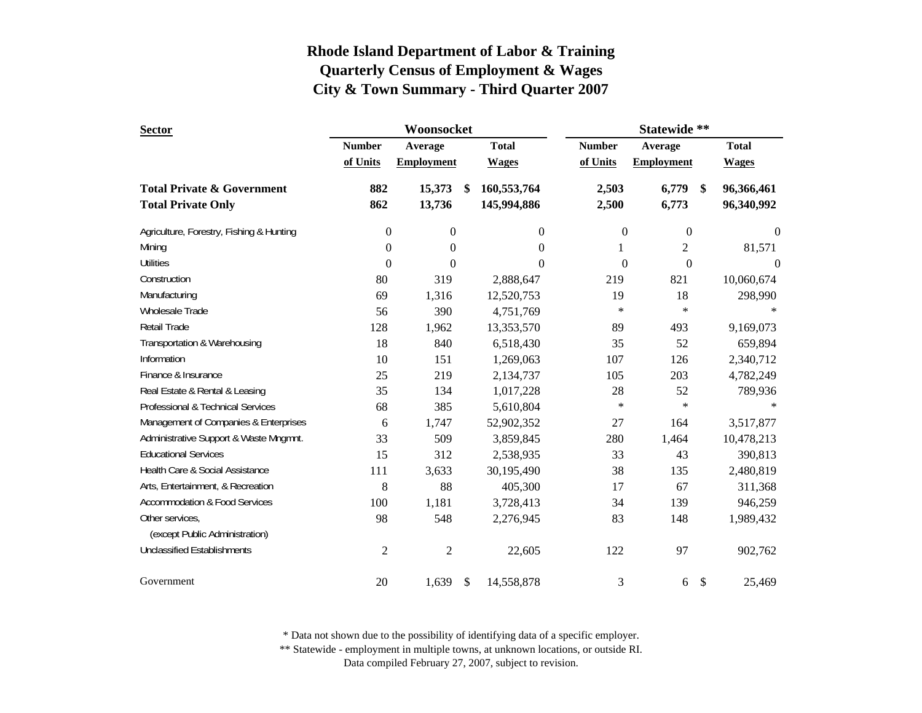| <b>Sector</b>                            |                | Woonsocket        |    | Statewide **     |                  |                   |    |              |  |
|------------------------------------------|----------------|-------------------|----|------------------|------------------|-------------------|----|--------------|--|
|                                          | <b>Number</b>  | Average           |    | <b>Total</b>     | <b>Number</b>    | Average           |    | <b>Total</b> |  |
|                                          | of Units       | <b>Employment</b> |    | <b>Wages</b>     | of Units         | <b>Employment</b> |    | <b>Wages</b> |  |
| <b>Total Private &amp; Government</b>    | 882            | 15,373            | -S | 160,553,764      | 2,503            | 6,779             | \$ | 96,366,461   |  |
| <b>Total Private Only</b>                | 862            | 13,736            |    | 145,994,886      | 2,500            | 6,773             |    | 96,340,992   |  |
| Agriculture, Forestry, Fishing & Hunting | 0              | $\boldsymbol{0}$  |    | $\boldsymbol{0}$ | $\boldsymbol{0}$ | $\boldsymbol{0}$  |    | 0            |  |
| Mining                                   | 0              | $\overline{0}$    |    | $\theta$         | 1                | $\overline{c}$    |    | 81,571       |  |
| <b>Utilities</b>                         | $\theta$       | $\Omega$          |    | $\Omega$         | $\theta$         | $\theta$          |    | $\theta$     |  |
| Construction                             | 80             | 319               |    | 2,888,647        | 219              | 821               |    | 10,060,674   |  |
| Manufacturing                            | 69             | 1,316             |    | 12,520,753       | 19               | 18                |    | 298,990      |  |
| <b>Wholesale Trade</b>                   | 56             | 390               |    | 4,751,769        | $\ast$           | $\ast$            |    |              |  |
| <b>Retail Trade</b>                      | 128            | 1,962             |    | 13,353,570       | 89               | 493               |    | 9,169,073    |  |
| Transportation & Warehousing             | 18             | 840               |    | 6,518,430        | 35               | 52                |    | 659,894      |  |
| Information                              | 10             | 151               |    | 1,269,063        | 107              | 126               |    | 2,340,712    |  |
| Finance & Insurance                      | 25             | 219               |    | 2,134,737        | 105              | 203               |    | 4,782,249    |  |
| Real Estate & Rental & Leasing           | 35             | 134               |    | 1,017,228        | 28               | 52                |    | 789,936      |  |
| Professional & Technical Services        | 68             | 385               |    | 5,610,804        | $\ast$           | $\ast$            |    |              |  |
| Management of Companies & Enterprises    | 6              | 1,747             |    | 52,902,352       | 27               | 164               |    | 3,517,877    |  |
| Administrative Support & Waste Mngmnt.   | 33             | 509               |    | 3,859,845        | 280              | 1,464             |    | 10,478,213   |  |
| <b>Educational Services</b>              | 15             | 312               |    | 2,538,935        | 33               | 43                |    | 390,813      |  |
| Health Care & Social Assistance          | 111            | 3,633             |    | 30,195,490       | 38               | 135               |    | 2,480,819    |  |
| Arts, Entertainment, & Recreation        | 8              | 88                |    | 405,300          | 17               | 67                |    | 311,368      |  |
| Accommodation & Food Services            | 100            | 1,181             |    | 3,728,413        | 34               | 139               |    | 946,259      |  |
| Other services.                          | 98             | 548               |    | 2,276,945        | 83               | 148               |    | 1,989,432    |  |
| (except Public Administration)           |                |                   |    |                  |                  |                   |    |              |  |
| <b>Unclassified Establishments</b>       | $\overline{c}$ | $\overline{c}$    |    | 22,605           | 122              | 97                |    | 902,762      |  |
| Government                               | 20             | 1,639             | \$ | 14,558,878       | 3                | 6                 | \$ | 25,469       |  |

\* Data not shown due to the possibility of identifying data of a specific employer.

\*\* Statewide - employment in multiple towns, at unknown locations, or outside RI.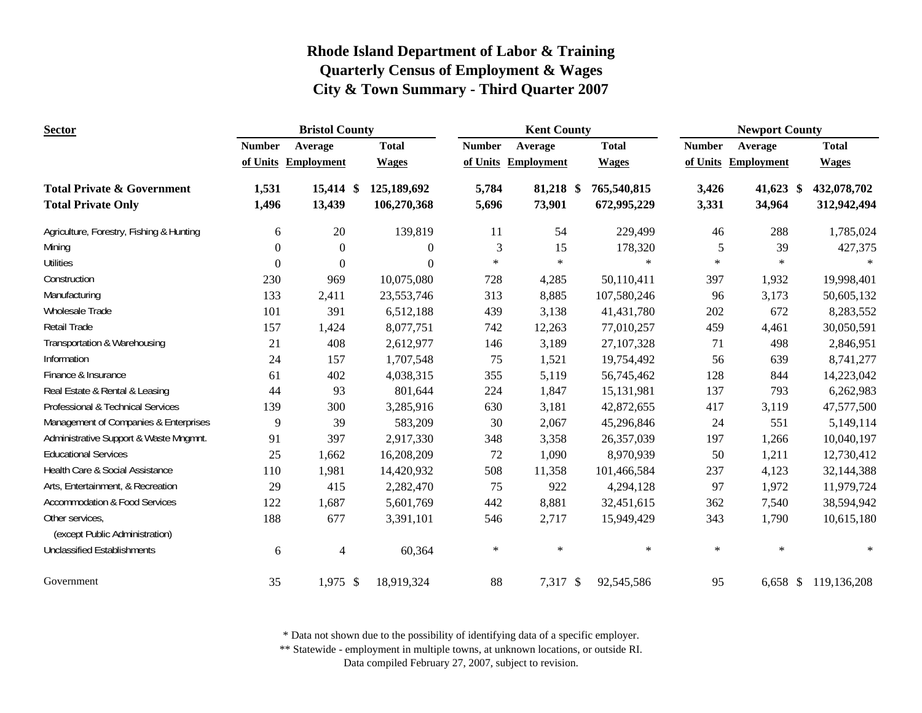| <b>Sector</b>                            |                  | <b>Bristol County</b> |                  |               | <b>Kent County</b>  |              | <b>Newport County</b> |                     |                      |  |
|------------------------------------------|------------------|-----------------------|------------------|---------------|---------------------|--------------|-----------------------|---------------------|----------------------|--|
|                                          | <b>Number</b>    | Average               | <b>Total</b>     | <b>Number</b> | Average             | <b>Total</b> | <b>Number</b>         | Average             | <b>Total</b>         |  |
|                                          |                  | of Units Employment   | <b>Wages</b>     |               | of Units Employment | <b>Wages</b> |                       | of Units Employment | <b>Wages</b>         |  |
| <b>Total Private &amp; Government</b>    | 1,531            | 15,414 \$             | 125,189,692      | 5,784         | 81,218 \$           | 765,540,815  | 3,426                 | 41,623 \$           | 432,078,702          |  |
| <b>Total Private Only</b>                | 1,496            | 13,439                | 106,270,368      | 5,696         | 73,901              | 672,995,229  | 3,331                 | 34,964              | 312,942,494          |  |
| Agriculture, Forestry, Fishing & Hunting | 6                | $20\,$                | 139,819          | 11            | 54                  | 229,499      | 46                    | 288                 | 1,785,024            |  |
| Mining                                   | $\boldsymbol{0}$ | $\mathbf{0}$          | $\boldsymbol{0}$ | 3             | 15                  | 178,320      | 5                     | 39                  | 427,375              |  |
| <b>Utilities</b>                         | $\Omega$         | $\theta$              | $\Omega$         | $\ast$        | $\ast$              | $\ast$       | $\ast$                | $\ast$              | $\ast$               |  |
| Construction                             | 230              | 969                   | 10,075,080       | 728           | 4,285               | 50,110,411   | 397                   | 1,932               | 19,998,401           |  |
| Manufacturing                            | 133              | 2,411                 | 23,553,746       | 313           | 8,885               | 107,580,246  | 96                    | 3,173               | 50,605,132           |  |
| Wholesale Trade                          | 101              | 391                   | 6,512,188        | 439           | 3,138               | 41,431,780   | 202                   | 672                 | 8,283,552            |  |
| <b>Retail Trade</b>                      | 157              | 1,424                 | 8,077,751        | 742           | 12,263              | 77,010,257   | 459                   | 4,461               | 30,050,591           |  |
| Transportation & Warehousing             | 21               | 408                   | 2,612,977        | 146           | 3,189               | 27, 107, 328 | 71                    | 498                 | 2,846,951            |  |
| Information                              | 24               | 157                   | 1,707,548        | 75            | 1,521               | 19,754,492   | 56                    | 639                 | 8,741,277            |  |
| Finance & Insurance                      | 61               | 402                   | 4,038,315        | 355           | 5,119               | 56,745,462   | 128                   | 844                 | 14,223,042           |  |
| Real Estate & Rental & Leasing           | 44               | 93                    | 801,644          | 224           | 1,847               | 15,131,981   | 137                   | 793                 | 6,262,983            |  |
| Professional & Technical Services        | 139              | 300                   | 3,285,916        | 630           | 3,181               | 42,872,655   | 417                   | 3,119               | 47,577,500           |  |
| Management of Companies & Enterprises    | 9                | 39                    | 583,209          | 30            | 2,067               | 45,296,846   | 24                    | 551                 | 5,149,114            |  |
| Administrative Support & Waste Mngmnt.   | 91               | 397                   | 2,917,330        | 348           | 3,358               | 26,357,039   | 197                   | 1,266               | 10,040,197           |  |
| <b>Educational Services</b>              | 25               | 1,662                 | 16,208,209       | 72            | 1,090               | 8,970,939    | 50                    | 1,211               | 12,730,412           |  |
| Health Care & Social Assistance          | 110              | 1,981                 | 14,420,932       | 508           | 11,358              | 101,466,584  | 237                   | 4,123               | 32,144,388           |  |
| Arts, Entertainment, & Recreation        | 29               | 415                   | 2,282,470        | 75            | 922                 | 4,294,128    | 97                    | 1,972               | 11,979,724           |  |
| <b>Accommodation &amp; Food Services</b> | 122              | 1,687                 | 5,601,769        | 442           | 8,881               | 32,451,615   | 362                   | 7,540               | 38,594,942           |  |
| Other services,                          | 188              | 677                   | 3,391,101        | 546           | 2,717               | 15,949,429   | 343                   | 1,790               | 10,615,180           |  |
| (except Public Administration)           |                  |                       |                  |               |                     |              |                       |                     |                      |  |
| <b>Unclassified Establishments</b>       | $\epsilon$       | 4                     | 60,364           | $\ast$        | $\ast$              | $\ast$       | $\ast$                | $\ast$              | $\star$              |  |
| Government                               | 35               | $1,975$ \$            | 18,919,324       | 88            | 7,317 \$            | 92,545,586   | 95                    |                     | 6,658 \$ 119,136,208 |  |

\* Data not shown due to the possibility of identifying data of a specific employer.

\*\* Statewide - employment in multiple towns, at unknown locations, or outside RI.